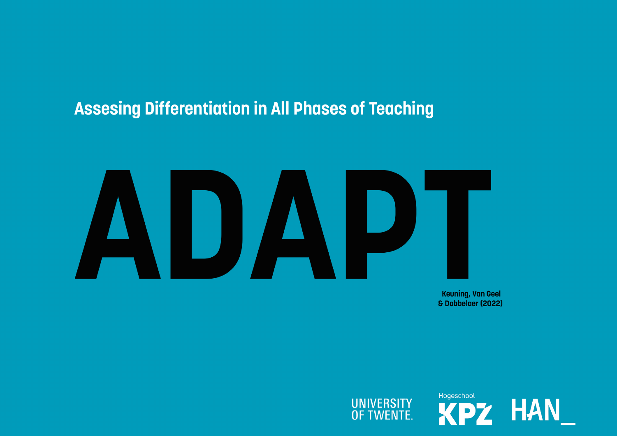## **Assesing Differentiation in All Phases of Teaching**



**Keuning, Van Geel** & Dobbelger (2022)



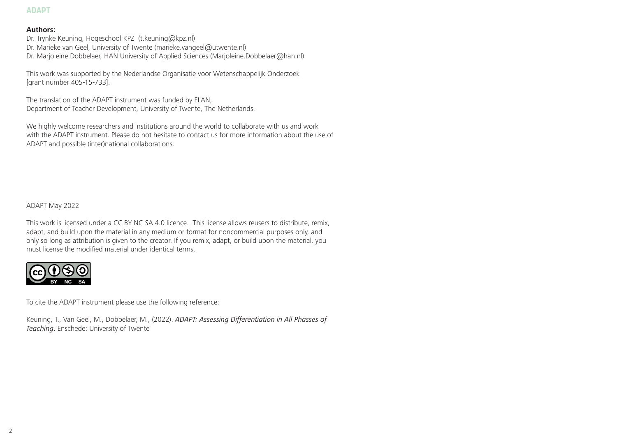#### **ADAPT**

#### Authors:

Dr. Trynke Keuning, Hogeschool KPZ (t.keuning@kpz.nl)

Dr. Marieke van Geel, University of Twente (marieke.vangeel@utwente.nl) Dr. Marjoleine Dobbelaer, HAN University of Applied Sciences (Marjoleine.Dobbelaer@han.nl)

This work was supported by the Nederlandse Organisatie voor Wetenschappelijk Onderzoek [grant number 405-15-733].

The translation of the ADAPT instrument was funded by ELAN, Department of Teacher Development, University of Twente, The Netherlands.

We highly welcome researchers and institutions around the world to collaborate with us and work with the ADAPT instrument. Please do not hesitate to contact us for more information about the use of ADAPT and possible (inter)national collaborations.

ADAPT May 2022

This work is licensed under a CC BY-NC-SA 4.0 licence. This license allows reusers to distribute, remix, adapt, and build upon the material in any medium or format for noncommercial purposes only, and only so long as attribution is given to the creator. If you remix, adapt, or build upon the material, you must license the modified material under identical terms.



To cite the ADAPT instrument please use the following reference:

Keuning, T., Van Geel, M., Dobbelaer, M., (2022). ADAPT: Assessing Differentiation in All Phasses of Teaching. Enschede: University of Twente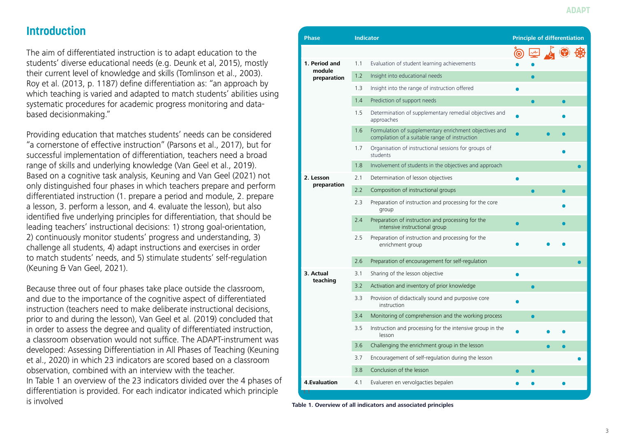#### **Introduction**

The aim of differentiated instruction is to adapt education to the students' diverse educational needs (e.g. Deunk et al, 2015), mostly their current level of knowledge and skills (Tomlinson et al., 2003). Roy et al. (2013, p. 1187) define differentiation as: "an approach by which teaching is varied and adapted to match students' abilities using systematic procedures for academic progress monitoring and databased decisionmaking."

Providing education that matches students' needs can be considered "a cornerstone of effective instruction" (Parsons et al., 2017), but for successful implementation of differentiation, teachers need a broad range of skills and underlying knowledge (Van Geel et al., 2019). Based on a cognitive task analysis, Keuning and Van Geel (2021) not only distinguished four phases in which teachers prepare and perform differentiated instruction (1. prepare a period and module, 2. prepare a lesson, 3. perform a lesson, and 4. evaluate the lesson), but also identified five underlying principles for differentiation, that should be leading teachers' instructional decisions: 1) strong goal-orientation, 2) continuously monitor students' progress and understanding, 3) challenge all students, 4) adapt instructions and exercises in order to match students' needs, and 5) stimulate students' self-regulation (Keuning & Van Geel, 2021).

Because three out of four phases take place outside the classroom, and due to the importance of the cognitive aspect of differentiated instruction (teachers need to make deliberate instructional decisions, prior to and during the lesson), Van Geel et al. (2019) concluded that in order to assess the degree and quality of differentiated instruction, a classroom observation would not suffice. The ADAPT-instrument was developed: Assessing Differentiation in All Phases of Teaching (Keuning et al., 2020) in which 23 indicators are scored based on a classroom observation, combined with an interview with the teacher. In Table 1 an overview of the 23 indicators divided over the 4 phases of differentiation is provided. For each indicator indicated which principle is involved

| <b>Phase</b>        |                                        |     | <b>Indicator</b>                                                                                         |  |  | <b>Principle of differentiation</b> |  |  |  |
|---------------------|----------------------------------------|-----|----------------------------------------------------------------------------------------------------------|--|--|-------------------------------------|--|--|--|
|                     |                                        |     |                                                                                                          |  |  |                                     |  |  |  |
|                     | 1. Period and<br>module<br>preparation | 1.1 | Evaluation of student learning achievements                                                              |  |  |                                     |  |  |  |
|                     |                                        | 1.2 | Insight into educational needs                                                                           |  |  |                                     |  |  |  |
|                     |                                        | 1.3 | Insight into the range of instruction offered                                                            |  |  |                                     |  |  |  |
|                     |                                        | 1.4 | Prediction of support needs                                                                              |  |  |                                     |  |  |  |
|                     |                                        | 1.5 | Determination of supplementary remedial objectives and<br>approaches                                     |  |  |                                     |  |  |  |
|                     |                                        | 1.6 | Formulation of supplementary enrichment objectives and<br>compilation of a suitable range of instruction |  |  |                                     |  |  |  |
|                     |                                        | 1.7 | Organisation of instructional sessions for groups of<br>students                                         |  |  |                                     |  |  |  |
|                     |                                        | 1.8 | Involvement of students in the objectives and approach                                                   |  |  |                                     |  |  |  |
| 2. Lesson           |                                        | 2.1 | Determination of lesson objectives                                                                       |  |  |                                     |  |  |  |
|                     | preparation                            | 2.2 | Composition of instructional groups                                                                      |  |  |                                     |  |  |  |
|                     |                                        | 2.3 | Preparation of instruction and processing for the core<br>group                                          |  |  |                                     |  |  |  |
|                     |                                        | 2.4 | Preparation of instruction and processing for the<br>intensive instructional group                       |  |  |                                     |  |  |  |
|                     |                                        | 2.5 | Preparation of instruction and processing for the<br>enrichment group                                    |  |  |                                     |  |  |  |
|                     |                                        | 2.6 | Preparation of encouragement for self-regulation                                                         |  |  |                                     |  |  |  |
| 3. Actual           | 3.1<br>teaching                        |     | Sharing of the lesson objective                                                                          |  |  |                                     |  |  |  |
|                     |                                        | 3.2 | Activation and inventory of prior knowledge                                                              |  |  |                                     |  |  |  |
|                     |                                        | 3.3 | Provision of didactically sound and purposive core<br>instruction                                        |  |  |                                     |  |  |  |
|                     |                                        | 3.4 | Monitoring of comprehension and the working process                                                      |  |  |                                     |  |  |  |
|                     |                                        | 3.5 | Instruction and processing for the intensive group in the<br>lesson                                      |  |  |                                     |  |  |  |
|                     |                                        | 3.6 | Challenging the enrichment group in the lesson                                                           |  |  |                                     |  |  |  |
|                     |                                        | 3.7 | Encouragement of self-regulation during the lesson                                                       |  |  |                                     |  |  |  |
|                     |                                        | 3.8 | Conclusion of the lesson                                                                                 |  |  |                                     |  |  |  |
| <b>4.Evaluation</b> |                                        | 4.1 | Evalueren en vervolgacties bepalen                                                                       |  |  |                                     |  |  |  |
|                     |                                        |     |                                                                                                          |  |  |                                     |  |  |  |

Table 1. Overview of all indicators and associated principles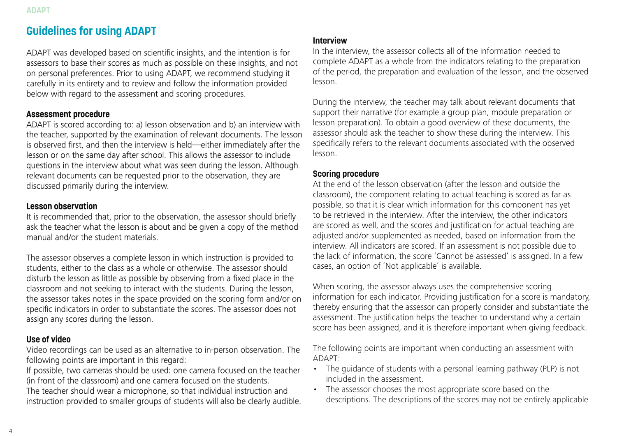## **Guidelines for using ADAPT**

ADAPT was developed based on scientific insights, and the intention is for assessors to base their scores as much as possible on these insights, and not on personal preferences. Prior to using ADAPT, we recommend studying it carefully in its entirety and to review and follow the information provided below with regard to the assessment and scoring procedures.

#### **Assessment procedure**

ADAPT is scored according to: a) lesson observation and b) an interview with the teacher, supported by the examination of relevant documents. The lesson is observed first, and then the interview is held—either immediately after the lesson or on the same day after school. This allows the assessor to include questions in the interview about what was seen during the lesson. Although relevant documents can be requested prior to the observation, they are discussed primarily during the interview.

#### **Lesson observation**

It is recommended that, prior to the observation, the assessor should briefly ask the teacher what the lesson is about and be given a copy of the method manual and/or the student materials.

The assessor observes a complete lesson in which instruction is provided to students, either to the class as a whole or otherwise. The assessor should disturb the lesson as little as possible by observing from a fixed place in the classroom and not seeking to interact with the students. During the lesson, the assessor takes notes in the space provided on the scoring form and/or on specific indicators in order to substantiate the scores. The assessor does not assign any scores during the lesson.

#### **Use of video**

Video recordings can be used as an alternative to in-person observation. The following points are important in this regard:

If possible, two cameras should be used: one camera focused on the teacher (in front of the classroom) and one camera focused on the students.

The teacher should wear a microphone, so that individual instruction and instruction provided to smaller groups of students will also be clearly audible.

#### **Interview**

In the interview, the assessor collects all of the information needed to complete ADAPT as a whole from the indicators relating to the preparation of the period, the preparation and evaluation of the lesson, and the observed lesson.

During the interview, the teacher may talk about relevant documents that support their narrative (for example a group plan, module preparation or lesson preparation). To obtain a good overview of these documents, the assessor should ask the teacher to show these during the interview. This specifically refers to the relevant documents associated with the observed lesson.

#### **Scoring procedure**

At the end of the lesson observation (after the lesson and outside the classroom), the component relating to actual teaching is scored as far as possible, so that it is clear which information for this component has yet to be retrieved in the interview. After the interview, the other indicators are scored as well, and the scores and justification for actual teaching are adjusted and/or supplemented as needed, based on information from the interview. All indicators are scored. If an assessment is not possible due to the lack of information, the score 'Cannot be assessed' is assigned. In a few cases, an option of 'Not applicable' is available.

When scoring, the assessor always uses the comprehensive scoring information for each indicator. Providing justification for a score is mandatory, thereby ensuring that the assessor can properly consider and substantiate the assessment. The justification helps the teacher to understand why a certain score has been assigned, and it is therefore important when giving feedback.

The following points are important when conducting an assessment with ADAPT:

- The guidance of students with a personal learning pathway (PLP) is not included in the assessment.
- The assessor chooses the most appropriate score based on the descriptions. The descriptions of the scores may not be entirely applicable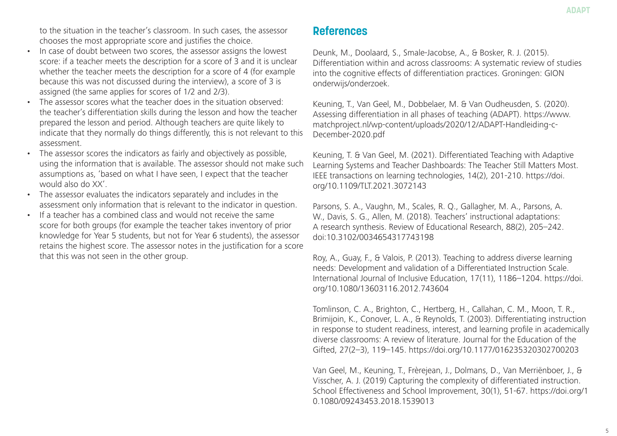to the situation in the teacher's classroom. In such cases, the assessor chooses the most appropriate score and justifies the choice.

- In case of doubt between two scores, the assessor assigns the lowest score: if a teacher meets the description for a score of 3 and it is unclear whether the teacher meets the description for a score of 4 (for example because this was not discussed during the interview), a score of 3 is assigned (the same applies for scores of 1/2 and 2/3).
- The assessor scores what the teacher does in the situation observed: the teacher's differentiation skills during the lesson and how the teacher prepared the lesson and period. Although teachers are quite likely to indicate that they normally do things differently, this is not relevant to this assessment.
- The assessor scores the indicators as fairly and objectively as possible, using the information that is available. The assessor should not make such assumptions as, 'based on what I have seen, I expect that the teacher would also do XX'.
- The assessor evaluates the indicators separately and includes in the assessment only information that is relevant to the indicator in question.
- If a teacher has a combined class and would not receive the same score for both groups (for example the teacher takes inventory of prior knowledge for Year 5 students, but not for Year 6 students), the assessor retains the highest score. The assessor notes in the justification for a score that this was not seen in the other group.

#### **References**

Deunk, M., Doolaard, S., Smale-Jacobse, A., & Bosker, R. J. (2015). Differentiation within and across classrooms: A systematic review of studies into the cognitive effects of differentiation practices. Groningen: GION onderwijs/onderzoek.

Keuning, T., Van Geel, M., Dobbelaer, M. & Van Oudheusden, S. (2020). Assessing differentiation in all phases of teaching (ADAPT). https://www. matchproject.nl/wp-content/uploads/2020/12/ADAPT-Handleiding-c-December-2020.pdf

Keuning, T. & Van Geel, M. (2021). Differentiated Teaching with Adaptive Learning Systems and Teacher Dashboards: The Teacher Still Matters Most. IEEE transactions on learning technologies, 14(2), 201-210. https://doi. org/10.1109/TLT.2021.3072143

Parsons, S. A., Vaughn, M., Scales, R. Q., Gallagher, M. A., Parsons, A. W., Davis, S. G., Allen, M. (2018). Teachers' instructional adaptations: A research synthesis. Review of Educational Research, 88(2), 205–242. doi:10.3102/0034654317743198

Roy, A., Guay, F., & Valois, P. (2013). Teaching to address diverse learning needs: Development and validation of a Differentiated Instruction Scale. International Journal of Inclusive Education, 17(11), 1186–1204. https://doi. org/10.1080/13603116.2012.743604

Tomlinson, C. A., Brighton, C., Hertberg, H., Callahan, C. M., Moon, T. R., Brimijoin, K., Conover, L. A., & Reynolds, T. (2003). Differentiating instruction in response to student readiness, interest, and learning profile in academically diverse classrooms: A review of literature. Journal for the Education of the Gifted, 27(2–3), 119–145. https://doi.org/10.1177/016235320302700203

Van Geel, M., Keuning, T., Frèrejean, J., Dolmans, D., Van Merriënboer, J., & Visscher, A. J. (2019) Capturing the complexity of differentiated instruction. School Effectiveness and School Improvement, 30(1), 51-67. https://doi.org/1 0.1080/09243453.2018.1539013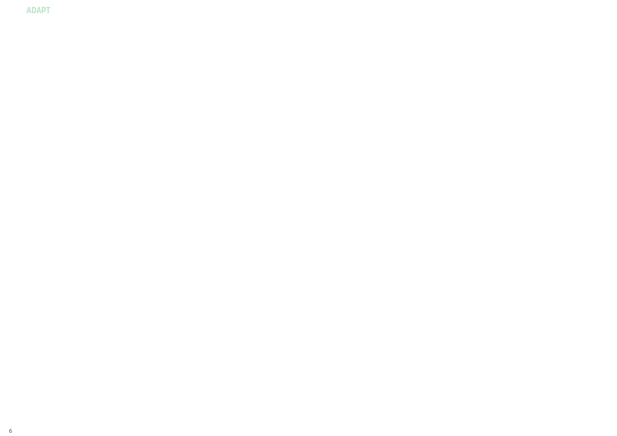**ADAPT**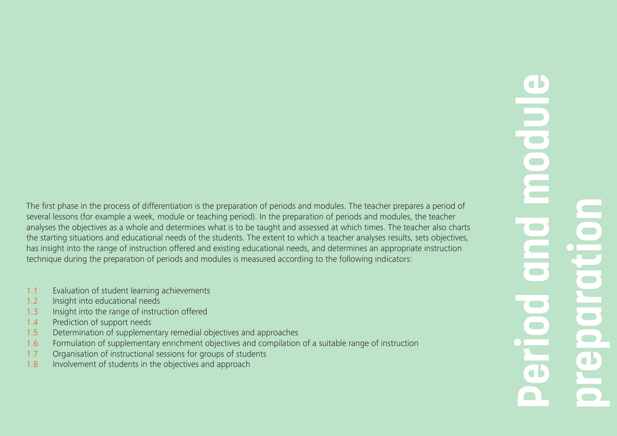The first phase in the process of differentiation is the preparation of periods and modules. The teacher prepares a period of several lessons (for example a week, module or teaching period). In the preparation of periods and modules, the teacher analyses the objectives as a whole and determines what is to be taught and assessed at which times. The teacher also charts the starting situations and educational needs of the students. The extent to which a teacher analyses results, sets objectives, has insight into the range of instruction offered and existing educational needs, and determines an appropriate instruction technique during the preparation of periods and modules is measured according to the following indicators:

- 1.1 Evaluation of student learning achievements
- 1.2 Insight into educational needs
- 1.3 Insight into the range of instruction offered
- 1.4 Prediction of support needs
- 1.5 Determination of supplementary remedial objectives and approaches
- 1.6 Formulation of supplementary enrichment objectives and compilation of a suitable range of instruction
- 1.7 Organisation of instructional sessions for groups of students
- 1.8 Involvement of students in the objectives and approach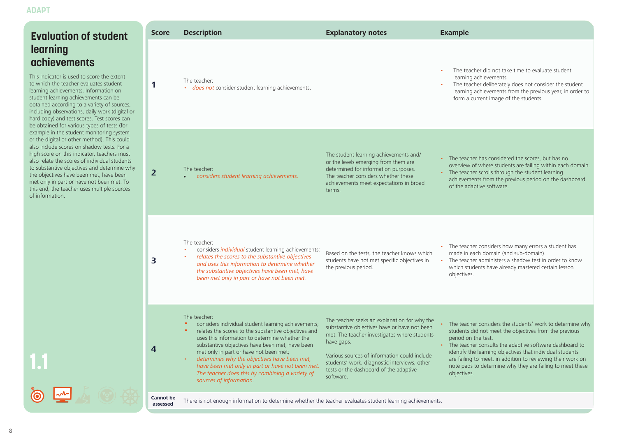#### **Evaluation of student learning achievements**

This indicator is used to score the extent to which the teacher evaluates student learning achievements. Information on student learning achievements can be obtained according to a variety of sources, including observations, daily work (digital or hard copy) and test scores. Test scores can be obtained for various types of tests (for example in the student monitoring system or the digital or other method). This could also include scores on shadow tests. For a high score on this indicator, teachers must also relate the scores of individual students to substantive objectives and determine why the objectives have been met, have been met only in part or have not been met. To this end, the teacher uses multiple sources of information.



**1.1**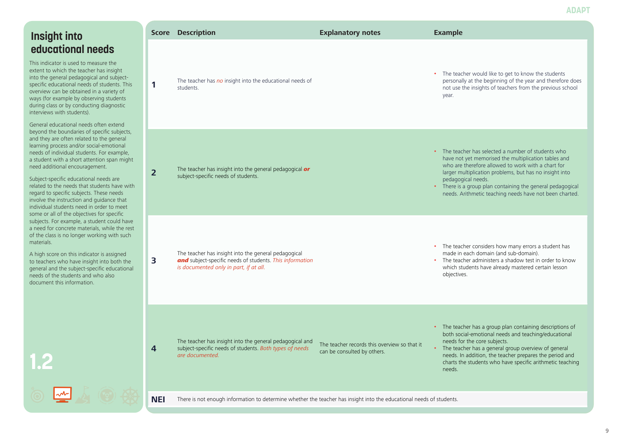#### **Insight into educational needs**

This indicator is used to measure the extent to which the teacher has insight into the general pedagogical and subjectspecific educational needs of students. This overview can be obtained in a variety of ways (for example by observing students during class or by conducting diagnostic interviews with students).

General educational needs often extend beyond the boundaries of specific subjects, and they are often related to the general learning process and/or social-emotional needs of individual students. For example, a student with a short attention span might need additional encouragement.

Subject-specific educational needs are related to the needs that students have with regard to specific subjects. These needs involve the instruction and guidance that individual students need in order to meet some or all of the objectives for specific subjects. For example, a student could have a need for concrete materials, while the rest of the class is no longer working with such materials.

A high score on this indicator is assigned to teachers who have insight into both the general and the subject-specific educational needs of the students and who also document this information.

**1.2**

Score Description **Explanatory notes** Example The teacher has no insight into the educational needs of students. • The teacher would like to get to know the students personally at the beginning of the year and therefore does not use the insights of teachers from the previous school year.

2 The teacher has insight into the general pedagogical  $\boldsymbol{or}$ subject-specific needs of students.

> The teacher has insight into the general pedagogical and subject-specific needs of students. This information is documented only in part, if at all.

• The teacher has selected a number of students who have not yet memorised the multiplication tables and who are therefore allowed to work with a chart for larger multiplication problems, but has no insight into pedagogical needs.

• There is a group plan containing the general pedagogical needs. Arithmetic teaching needs have not been charted.

- The teacher considers how many errors a student has made in each domain (and sub-domain).
- The teacher administers a shadow test in order to know which students have already mastered certain lesson objectives.

4

3

The teacher has insight into the general pedagogical and subject-specific needs of students. Both types of needs are documented.

The teacher records this overview so that it can be consulted by others.

• The teacher has a group plan containing descriptions of both social-emotional needs and teaching/educational needs for the core subjects.

The teacher has a general group overview of general needs. In addition, the teacher prepares the period and charts the students who have specific arithmetic teaching needs.

NEI There is not enough information to determine whether the teacher has insight into the educational needs of students.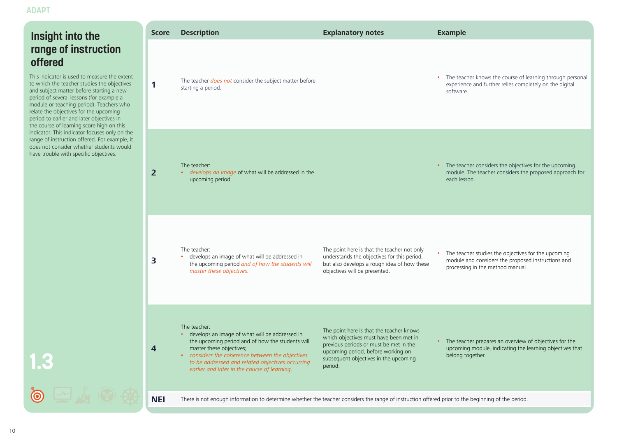#### **Insight into the range of instruction offered**

This indicator is used to measure the extent to which the teacher studies the objectives and subject matter before starting a new period of several lessons (for example a module or teaching period). Teachers who relate the objectives for the upcoming period to earlier and later objectives in the course of learning score high on this indicator. This indicator focuses only on the range of instruction offered. For example, it does not consider whether students would have trouble with specific objectives.

| <b>Score</b>   | <b>Description</b>                                                                                                                                                                                                                                                                                     | <b>Explanatory notes</b>                                                                                                                                                                                               | <b>Example</b>                                                                                                                                |
|----------------|--------------------------------------------------------------------------------------------------------------------------------------------------------------------------------------------------------------------------------------------------------------------------------------------------------|------------------------------------------------------------------------------------------------------------------------------------------------------------------------------------------------------------------------|-----------------------------------------------------------------------------------------------------------------------------------------------|
| 1              | The teacher <i>does not</i> consider the subject matter before<br>starting a period.                                                                                                                                                                                                                   |                                                                                                                                                                                                                        | The teacher knows the course of learning through personal<br>٠<br>experience and further relies completely on the digital<br>software.        |
| $\overline{2}$ | The teacher:<br>• develops an image of what will be addressed in the<br>upcoming period.                                                                                                                                                                                                               |                                                                                                                                                                                                                        | The teacher considers the objectives for the upcoming<br>$\bullet$<br>module. The teacher considers the proposed approach for<br>each lesson. |
| 3              | The teacher:<br>develops an image of what will be addressed in<br>the upcoming period and of how the students will<br>master these objectives.                                                                                                                                                         | The point here is that the teacher not only<br>understands the objectives for this period,<br>but also develops a rough idea of how these<br>objectives will be presented.                                             | The teacher studies the objectives for the upcoming<br>module and considers the proposed instructions and<br>processing in the method manual. |
| Δ              | The teacher:<br>develops an image of what will be addressed in<br>the upcoming period and of how the students will<br>master these objectives;<br>• considers the coherence between the objectives<br>to be addressed and related objectives occurring<br>earlier and later in the course of learning. | The point here is that the teacher knows<br>which objectives must have been met in<br>previous periods or must be met in the<br>upcoming period, before working on<br>subsequent objectives in the upcoming<br>period. | The teacher prepares an overview of objectives for the<br>upcoming module, indicating the learning objectives that<br>belong together.        |
| <b>NEI</b>     | There is not enough information to determine whether the teacher considers the range of instruction offered prior to the beginning of the period.                                                                                                                                                      |                                                                                                                                                                                                                        |                                                                                                                                               |

**1.3**

Ö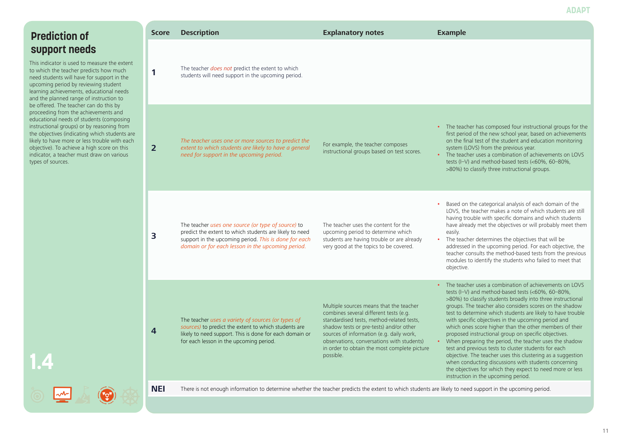## **Prediction of support needs**

This indicator is used to measure the extent to which the teacher predicts how much need students will have for support in the upcoming period by reviewing student learning achievements, educational needs and the planned range of instruction to be offered. The teacher can do this by proceeding from the achievements and educational needs of students (composing instructional groups) or by reasoning from the objectives (indicating which students are likely to have more or less trouble with each objective). To achieve a high score on this indicator, a teacher must draw on various types of sources.

4



3

2







NEI There is not enough information to determine whether the teacher predicts the extent to which students are likely to need support in the upcoming period.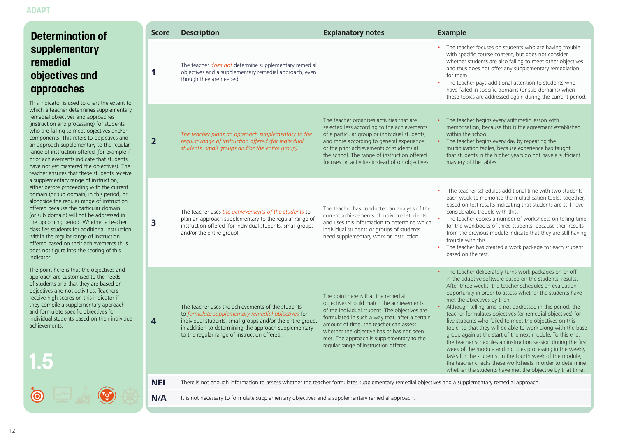## **Determination of supplementary remedial objectives and approaches**

This indicator is used to chart the extent to which a teacher determines supplementary remedial objectives and approaches (instruction and processing) for students who are failing to meet objectives and/or components. This refers to objectives and an approach supplementary to the regular range of instruction offered (for example if prior achievements indicate that students have not yet mastered the objectives). The teacher ensures that these students receive a supplementary range of instruction, either before proceeding with the current domain (or sub-domain) in this period, or alongside the regular range of instruction offered because the particular domain (or sub-domain) will not be addressed in the upcoming period. Whether a teacher classifies students for additional instruction within the regular range of instruction offered based on their achievements thus does not figure into the scoring of this indicator.

The point here is that the objectives and approach are customised to the needs of students and that they are based on objectives and not activities. Teachers receive high scores on this indicator if they compile a supplementary approach and formulate specific objectives for individual students based on their individual achievements.

# **1.5**

Ö



| <b>Score</b>   | <b>Description</b>                                                                                                                                                                                                                                                             | <b>Explanatory notes</b>                                                                                                                                                                                                                                                                                                                                        | <b>Example</b>                                                                                                                                                                                                                                                                                                                                                                                                                                                                                                                                                                                                                                                                                                                                                                                                                                                                                                                 |
|----------------|--------------------------------------------------------------------------------------------------------------------------------------------------------------------------------------------------------------------------------------------------------------------------------|-----------------------------------------------------------------------------------------------------------------------------------------------------------------------------------------------------------------------------------------------------------------------------------------------------------------------------------------------------------------|--------------------------------------------------------------------------------------------------------------------------------------------------------------------------------------------------------------------------------------------------------------------------------------------------------------------------------------------------------------------------------------------------------------------------------------------------------------------------------------------------------------------------------------------------------------------------------------------------------------------------------------------------------------------------------------------------------------------------------------------------------------------------------------------------------------------------------------------------------------------------------------------------------------------------------|
| 1              | The teacher <i>does not</i> determine supplementary remedial<br>objectives and a supplementary remedial approach, even<br>though they are needed.                                                                                                                              |                                                                                                                                                                                                                                                                                                                                                                 | • The teacher focuses on students who are having trouble<br>with specific course content, but does not consider<br>whether students are also failing to meet other objectives<br>and thus does not offer any supplementary remediation<br>for them.<br>The teacher pays additional attention to students who<br>$\bullet$<br>have failed in specific domains (or sub-domains) when<br>these topics are addressed again during the current period.                                                                                                                                                                                                                                                                                                                                                                                                                                                                              |
| $\overline{2}$ | The teacher plans an approach supplementary to the<br>regular range of instruction offered (for individual<br>students, small groups and/or the entire group).                                                                                                                 | The teacher organises activities that are<br>selected less according to the achievements<br>of a particular group or individual students,<br>and more according to general experience<br>or the prior achievements of students at<br>the school. The range of instruction offered<br>focuses on activities instead of on objectives.                            | The teacher begins every arithmetic lesson with<br>memorisation, because this is the agreement established<br>within the school.<br>The teacher begins every day by repeating the<br>$\bullet$<br>multiplication tables, because experience has taught<br>that students in the higher years do not have a sufficient<br>mastery of the tables.                                                                                                                                                                                                                                                                                                                                                                                                                                                                                                                                                                                 |
| 3              | The teacher uses the achievements of the students to<br>plan an approach supplementary to the regular range of<br>instruction offered (for individual students, small groups<br>and/or the entire group).                                                                      | The teacher has conducted an analysis of the<br>current achievements of individual students<br>and uses this information to determine which<br>individual students or groups of students<br>need supplementary work or instruction.                                                                                                                             | The teacher schedules additional time with two students<br>each week to memorise the multiplication tables together,<br>based on test results indicating that students are still have<br>considerable trouble with this.<br>The teacher copies a number of worksheets on telling time<br>for the workbooks of three students, because their results<br>from the previous module indicate that they are still having<br>trouble with this.<br>The teacher has created a work package for each student<br>based on the test.                                                                                                                                                                                                                                                                                                                                                                                                     |
| 4              | The teacher uses the achievements of the students<br>to formulate supplementary remedial objectives for<br>individual students, small groups and/or the entire group,<br>in addition to determining the approach supplementary<br>to the regular range of instruction offered. | The point here is that the remedial<br>objectives should match the achievements<br>of the individual student. The objectives are<br>formulated in such a way that, after a certain<br>amount of time, the teacher can assess<br>whether the objective has or has not been<br>met. The approach is supplementary to the<br>regular range of instruction offered. | The teacher deliberately turns work packages on or off<br>$\bullet$ .<br>in the adaptive software based on the students' results.<br>After three weeks, the teacher schedules an evaluation<br>opportunity in order to assess whether the students have<br>met the objectives by then.<br>Although telling time is not addressed in this period, the<br>teacher formulates objectives (or remedial objectives) for<br>five students who failed to meet the objectives on this<br>topic, so that they will be able to work along with the base<br>group again at the start of the next module. To this end,<br>the teacher schedules an instruction session during the first<br>week of the module and includes processing in the weekly<br>tasks for the students. In the fourth week of the module,<br>the teacher checks these worksheets in order to determine<br>whether the students have met the objective by that time. |
| NEI            | There is not enough information to assess whether the teacher formulates supplementary remedial objectives and a supplementary remedial approach.                                                                                                                              |                                                                                                                                                                                                                                                                                                                                                                 |                                                                                                                                                                                                                                                                                                                                                                                                                                                                                                                                                                                                                                                                                                                                                                                                                                                                                                                                |

N/A It is not necessary to formulate supplementary objectives and a supplementary remedial approach.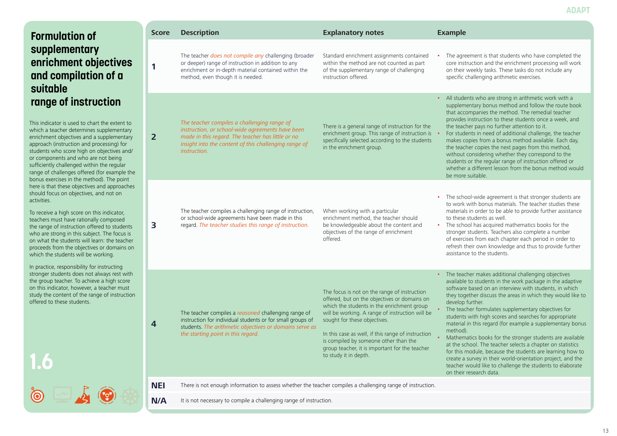| <b>Formulation of</b> |
|-----------------------|
| supplementary         |
| enrichment objectives |
| and compilation of a  |
| suitable              |
| range of instruction  |

This indicator is used to chart the extent to which a teacher determines supplementary enrichment objectives and a supplementary approach (instruction and processing) for students who score high on objectives and/ or components and who are not being sufficiently challenged within the regular range of challenges offered (for example the bonus exercises in the method). The point here is that these objectives and approaches should focus on objectives, and not on activities.

To receive a high score on this indicator, teachers must have rationally composed the range of instruction offered to students who are strong in this subject. The focus is on what the students will learn: the teacher proceeds from the objectives or domains on which the students will be working.

In practice, responsibility for instructing stronger students does not always rest with the group teacher. To achieve a high score on this indicator, however, a teacher must study the content of the range of instruction offered to these students.

**1.6**

is the state

4

1

2

3

| <b>Score</b>  | <b>Description</b>                                                                                                                                                                                                                   | <b>Explanatory notes</b>                                                                                                                                                                                                                                                                                                                                                                                | <b>Example</b>                                                                                                                                                                                                                                                                                                                                                                                                                                                                                                                                                                                                                                                                                                                                                                                          |
|---------------|--------------------------------------------------------------------------------------------------------------------------------------------------------------------------------------------------------------------------------------|---------------------------------------------------------------------------------------------------------------------------------------------------------------------------------------------------------------------------------------------------------------------------------------------------------------------------------------------------------------------------------------------------------|---------------------------------------------------------------------------------------------------------------------------------------------------------------------------------------------------------------------------------------------------------------------------------------------------------------------------------------------------------------------------------------------------------------------------------------------------------------------------------------------------------------------------------------------------------------------------------------------------------------------------------------------------------------------------------------------------------------------------------------------------------------------------------------------------------|
| 1             | The teacher <i>does not compile any</i> challenging (broader<br>or deeper) range of instruction in addition to any<br>enrichment or in-depth material contained within the<br>method, even though it is needed.                      | Standard enrichment assignments contained<br>within the method are not counted as part<br>of the supplementary range of challenging<br>instruction offered.                                                                                                                                                                                                                                             | The agreement is that students who have completed the<br>core instruction and the enrichment processing will work<br>on their weekly tasks. These tasks do not include any<br>specific challenging arithmetic exercises.                                                                                                                                                                                                                                                                                                                                                                                                                                                                                                                                                                                |
| 2             | The teacher compiles a challenging range of<br>instruction, or school-wide agreements have been<br>made in this regard. The teacher has little or no<br>insight into the content of this challenging range of<br><i>instruction.</i> | There is a general range of instruction for the<br>enrichment group. This range of instruction is<br>specifically selected according to the students<br>in the enrichment group.                                                                                                                                                                                                                        | All students who are strong in arithmetic work with a<br>supplementary bonus method and follow the route book<br>that accompanies the method. The remedial teacher<br>provides instruction to these students once a week, and<br>the teacher pays no further attention to it.<br>For students in need of additional challenge, the teacher<br>makes copies from a bonus method available. Each day,<br>the teacher copies the next pages from this method,<br>without considering whether they correspond to the<br>students or the regular range of instruction offered or<br>whether a different lesson from the bonus method would<br>be more suitable.                                                                                                                                              |
| 3             | The teacher compiles a challenging range of instruction,<br>or school-wide agreements have been made in this<br>regard. The teacher studies this range of instruction.                                                               | When working with a particular<br>enrichment method, the teacher should<br>be knowledgeable about the content and<br>objectives of the range of enrichment<br>offered.                                                                                                                                                                                                                                  | The school-wide agreement is that stronger students are<br>to work with bonus materials. The teacher studies these<br>materials in order to be able to provide further assistance<br>to these students as well.<br>The school has acquired mathematics books for the<br>stronger students. Teachers also complete a number<br>of exercises from each chapter each period in order to<br>refresh their own knowledge and thus to provide further<br>assistance to the students.                                                                                                                                                                                                                                                                                                                          |
| 4             | The teacher compiles a reasoned challenging range of<br>instruction for individual students or for small groups of<br>students. The arithmetic objectives or domains serve as<br>the starting point in this regard.                  | The focus is not on the range of instruction<br>offered, but on the objectives or domains on<br>which the students in the enrichment group<br>will be working. A range of instruction will be<br>sought for these objectives.<br>In this case as well, if this range of instruction<br>is compiled by someone other than the<br>group teacher, it is important for the teacher<br>to study it in depth. | The teacher makes additional challenging objectives<br>available to students in the work package in the adaptive<br>software based on an interview with students, in which<br>they together discuss the areas in which they would like to<br>develop further.<br>The teacher formulates supplementary objectives for<br>students with high scores and searches for appropriate<br>material in this regard (for example a supplementary bonus<br>method).<br>Mathematics books for the stronger students are available<br>at the school. The teacher selects a chapter on statistics<br>for this module, because the students are learning how to<br>create a survey in their world-orientation project, and the<br>teacher would like to challenge the students to elaborate<br>on their research data. |
| <b>NEI</b>    | There is not enough information to assess whether the teacher compiles a challenging range of instruction.                                                                                                                           |                                                                                                                                                                                                                                                                                                                                                                                                         |                                                                                                                                                                                                                                                                                                                                                                                                                                                                                                                                                                                                                                                                                                                                                                                                         |
| 11 <i>I</i> A | It is not pecossary to compile a challenging range of instruction                                                                                                                                                                    |                                                                                                                                                                                                                                                                                                                                                                                                         |                                                                                                                                                                                                                                                                                                                                                                                                                                                                                                                                                                                                                                                                                                                                                                                                         |

**N/A** It is not necessary to compile a challenging range of instruction.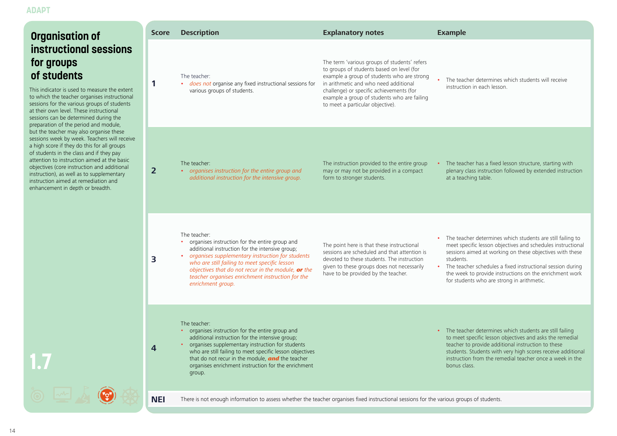#### **Organisation of instructional sessions for groups of students**

This indicator is used to measure the extent to which the teacher organises instructional sessions for the various groups of students at their own level. These instructional sessions can be determined during the preparation of the period and module, but the teacher may also organise these sessions week by week. Teachers will receive a high score if they do this for all groups of students in the class and if they pay attention to instruction aimed at the basic objectives (core instruction and additional instruction), as well as to supplementary instruction aimed at remediation and enhancement in depth or breadth.



#### The teacher:

2

3

4

*•* organises instruction for the entire group and additional instruction for the intensive group.

The instruction provided to the entire group may or may not be provided in a compact form to stronger students.

The teacher has a fixed lesson structure, starting with plenary class instruction followed by extended instruction at a teaching table.

#### The teacher:

- organises instruction for the entire group and additional instruction for the intensive group;
- *•* organises supplementary instruction for students who are still failing to meet specific lesson objectives that do not recur in the module, or the teacher organises enrichment instruction for the enrichment group.

The point here is that these instructional sessions are scheduled and that attention is devoted to these students. The instruction given to these groups does not necessarily have to be provided by the teacher.

- The teacher determines which students are still failing to meet specific lesson objectives and schedules instructional sessions aimed at working on these objectives with these students.
- The teacher schedules a fixed instructional session during the week to provide instructions on the enrichment work for students who are strong in arithmetic.

#### The teacher:

- organises instruction for the entire group and additional instruction for the intensive group;
- organises supplementary instruction for students who are still failing to meet specific lesson objectives that do not recur in the module, **and** the teacher organises enrichment instruction for the enrichment group.

• The teacher determines which students are still failing to meet specific lesson objectives and asks the remedial teacher to provide additional instruction to these students. Students with very high scores receive additional instruction from the remedial teacher once a week in the bonus class.

NEI There is not enough information to assess whether the teacher organises fixed instructional sessions for the various groups of students.

**1.7**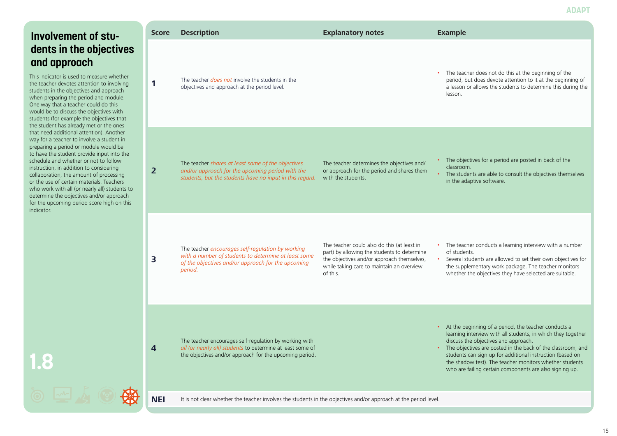#### **Involvement of students in the objectives and approach**

This indicator is used to measure whether the teacher devotes attention to involving students in the objectives and approach when preparing the period and module. One way that a teacher could do this would be to discuss the objectives with students (for example the objectives that the student has already met or the ones that need additional attention). Another way for a teacher to involve a student in preparing a period or module would be to have the student provide input into the schedule and whether or not to follow instruction, in addition to considering collaboration, the amount of processing or the use of certain materials. Teachers who work with all (or nearly all) students to determine the objectives and/or approach for the upcoming period score high on this indicator.

**1.8**



15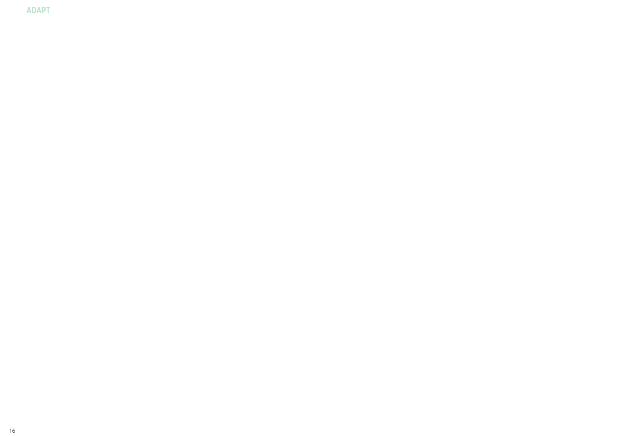**ADAPT**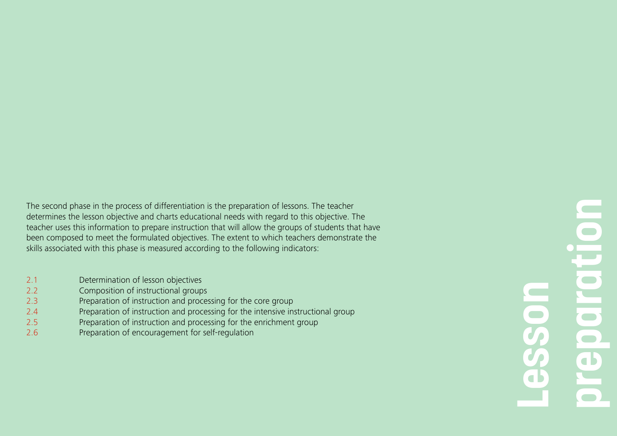The second phase in the process of differentiation is the preparation of lessons. The teacher determines the lesson objective and charts educational needs with regard to this objective. The teacher uses this information to prepare instruction that will allow the groups of students that have been composed to meet the formulated objectives. The extent to which teachers demonstrate the skills associated with this phase is measured according to the following indicators:

- 2.1 Determination of lesson objectives
- 2.2 Composition of instructional groups
- 2.3 Preparation of instruction and processing for the core group
- 2.4 Preparation of instruction and processing for the intensive instructional group
- 2.5 Preparation of instruction and processing for the enrichment group
- 2.6 Preparation of encouragement for self-regulation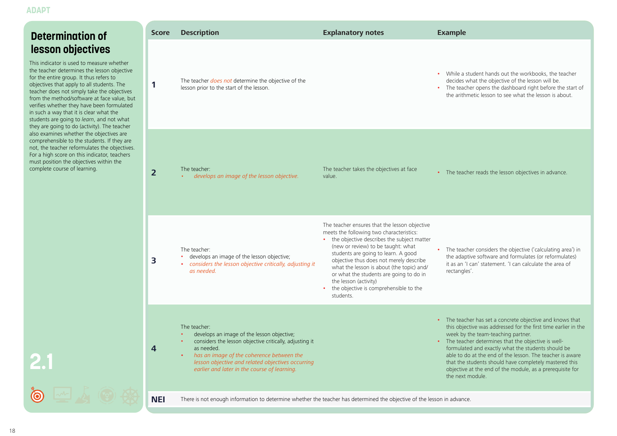#### **Determination of lesson objectives**

This indicator is used to measure whether the teacher determines the lesson objective for the entire group. It thus refers to objectives that apply to all students. The teacher does not simply take the objectives from the method/software at face value, but verifies whether they have been formulated in such a way that it is clear what the students are going to *learn*, and not what they are going to do (activity). The teacher also examines whether the objectives are comprehensible to the students. If they are not, the teacher reformulates the objectives. For a high score on this indicator, teachers must position the objectives within the complete course of learning.



**2.1**

෦෯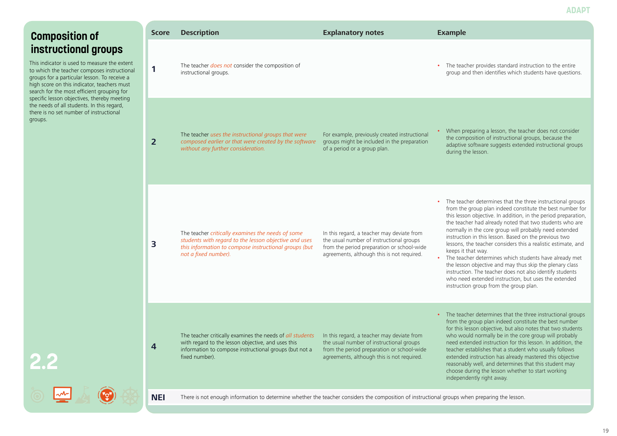## **Composition of instructional groups**

This indicator is used to measure the extent to which the teacher composes instructional groups for a particular lesson. To receive a high score on this indicator, teachers must search for the most efficient grouping for specific lesson objectives, thereby meeting the needs of all students. In this regard, there is no set number of instructional groups.

2

3

4

| <b>Score</b> | <b>Description</b>                                                                                                                                                                          | <b>Explanatory notes</b>                                                                                                                                                           | <b>Example</b>                                                                                                                                                                                                                                                                                                                                                                                                                                                                                                                                                                                                                                                                                                                                                    |
|--------------|---------------------------------------------------------------------------------------------------------------------------------------------------------------------------------------------|------------------------------------------------------------------------------------------------------------------------------------------------------------------------------------|-------------------------------------------------------------------------------------------------------------------------------------------------------------------------------------------------------------------------------------------------------------------------------------------------------------------------------------------------------------------------------------------------------------------------------------------------------------------------------------------------------------------------------------------------------------------------------------------------------------------------------------------------------------------------------------------------------------------------------------------------------------------|
| 1            | The teacher does not consider the composition of<br>instructional groups.                                                                                                                   |                                                                                                                                                                                    | The teacher provides standard instruction to the entire<br>group and then identifies which students have questions.                                                                                                                                                                                                                                                                                                                                                                                                                                                                                                                                                                                                                                               |
| 2            | The teacher uses the instructional groups that were<br>composed earlier or that were created by the software<br>without any further consideration.                                          | For example, previously created instructional<br>groups might be included in the preparation<br>of a period or a group plan.                                                       | When preparing a lesson, the teacher does not consider<br>the composition of instructional groups, because the<br>adaptive software suggests extended instructional groups<br>during the lesson.                                                                                                                                                                                                                                                                                                                                                                                                                                                                                                                                                                  |
| 3            | The teacher critically examines the needs of some<br>students with regard to the lesson objective and uses<br>this information to compose instructional groups (but<br>not a fixed number). | In this regard, a teacher may deviate from<br>the usual number of instructional groups<br>from the period preparation or school-wide<br>agreements, although this is not required. | The teacher determines that the three instructional groups<br>$\bullet$<br>from the group plan indeed constitute the best number for<br>this lesson objective. In addition, in the period preparation,<br>the teacher had already noted that two students who are<br>normally in the core group will probably need extended<br>instruction in this lesson. Based on the previous two<br>lessons, the teacher considers this a realistic estimate, and<br>keeps it that way.<br>• The teacher determines which students have already met<br>the lesson objective and may thus skip the plenary class<br>instruction. The teacher does not also identify students<br>who need extended instruction, but uses the extended<br>instruction group from the group plan. |
| 4            | The teacher critically examines the needs of all students<br>with regard to the lesson objective, and uses this<br>information to compose instructional groups (but not a<br>fixed number). | In this regard, a teacher may deviate from<br>the usual number of instructional groups<br>from the period preparation or school-wide<br>agreements, although this is not required. | The teacher determines that the three instructional groups<br>$\bullet$<br>from the group plan indeed constitute the best number<br>for this lesson objective, but also notes that two students<br>who would normally be in the core group will probably<br>need extended instruction for this lesson. In addition, the<br>teacher establishes that a student who usually follows<br>extended instruction has already mastered this objective<br>reasonably well, and determines that this student may<br>choose during the lesson whether to start working<br>independently right away.                                                                                                                                                                          |
| <b>NEI</b>   | There is not enough information to determine whether the teacher considers the composition of instructional groups when preparing the lesson.                                               |                                                                                                                                                                                    |                                                                                                                                                                                                                                                                                                                                                                                                                                                                                                                                                                                                                                                                                                                                                                   |
|              |                                                                                                                                                                                             |                                                                                                                                                                                    |                                                                                                                                                                                                                                                                                                                                                                                                                                                                                                                                                                                                                                                                                                                                                                   |

# **2.2**<br>◎ <del>亚</del>人图象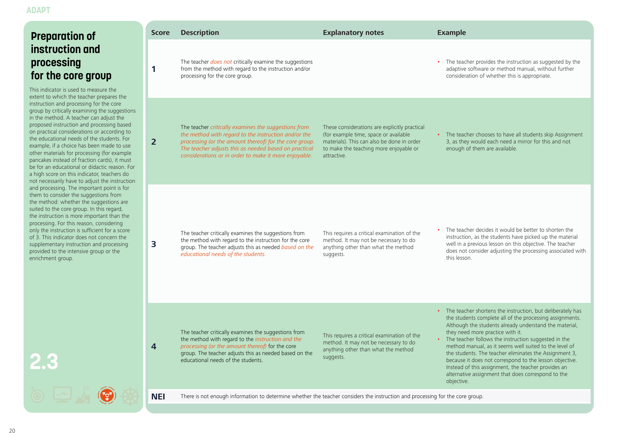## **Preparation of instruction and processing for the core group**

This indicator is used to measure the extent to which the teacher prepares the instruction and processing for the core group by critically examining the suggestions in the method. A teacher can adjust the proposed instruction and processing based on practical considerations or according to the educational needs of the students. For example, if a choice has been made to use other materials for processing (for example pancakes instead of fraction cards), it must be for an educational or didactic reason. For a high score on this indicator, teachers do not necessarily have to adjust the instruction and processing. The important point is for them to consider the suggestions from the method: whether the suggestions are suited to the core group. In this regard, the instruction is more important than the processing. For this reason, considering only the instruction is sufficient for a score of 3. This indicator does not concern the supplementary instruction and processing provided to the intensive group or the enrichment group.

Score Description **Example** Explanatory notes Example 1 The teacher *does not* critically examine the suggestions from the method with regard to the instruction and/or processing for the core group. • The teacher provides the instruction as suggested by the adaptive software or method manual, without further consideration of whether this is appropriate. 2 The teacher *critically examines the suggestions from* the method with regard to the instruction and/or the processing (or the amount thereof) for the core group. The teacher adjusts this as needed based on practical considerations or in order to make it more enjoyable. These considerations are explicitly practical (for example time, space or available materials). This can also be done in order to make the teaching more enjoyable or attractive. • The teacher chooses to have all students skip Assignment 3, as they would each need a mirror for this and not enough of them are available. 3 The teacher critically examines the suggestions from the method with regard to the instruction for the core group. The teacher adjusts this as needed based on the educational needs of the students. This requires a critical examination of the method. It may not be necessary to do anything other than what the method suggests. • The teacher decides it would be better to shorten the instruction, as the students have picked up the material well in a previous lesson on this objective. The teacher does not consider adjusting the processing associated with this lesson.

4



The teacher critically examines the suggestions from the method with regard to the instruction and the

This requires a critical examination of the method. It may not be necessary to do anything other than what the method suggests.

- The teacher shortens the instruction, but deliberately has the students complete all of the processing assignments. Although the students already understand the material, they need more practice with it.
- The teacher follows the instruction suggested in the method manual, as it seems well suited to the level of the students. The teacher eliminates the Assignment 3, because it does not correspond to the lesson objective. Instead of this assignment, the teacher provides an alternative assignment that does correspond to the objective.

NEI There is not enough information to determine whether the teacher considers the instruction and processing for the core group.

**2.3**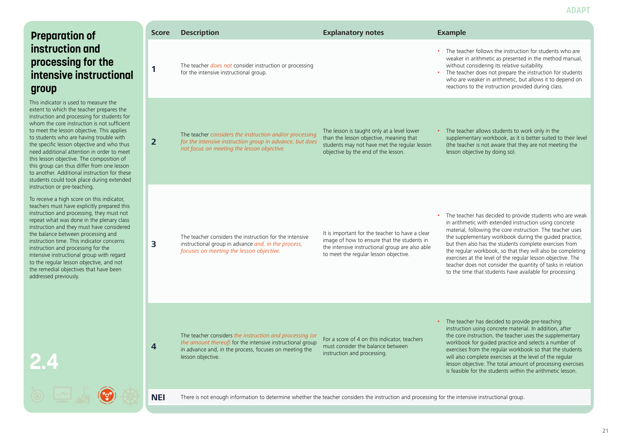## **Preparation of instruction and processing for the intensive instructional group**

This indicator is used to measure the extent to which the teacher prepares the instruction and processing for students for whom the core instruction is not sufficient to meet the lesson objective. This applies to students who are having trouble with the specific lesson objective and who thus need additional attention in order to meet this lesson objective. The composition of this group can thus differ from one lesson to another. Additional instruction for these students could took place during extended instruction or pre-teaching.

To receive a high score on this indicator, teachers must have explicitly prepared this instruction and processing, they must not repeat what was done in the plenary class instruction and they must have considered the balance between processing and instruction time. This indicator concerns instruction and processing for the intensive instructional group with regard to the regular lesson objective, and not the remedial objectives that have been addressed previously.

**2.4**

#### Score Description **Example** Explanatory notes Example The teacher *does not* consider instruction or processing for the intensive instructional group. • The teacher follows the instruction for students who are weaker in arithmetic as presented in the method manual, without considering its relative suitability. • The teacher does not prepare the instruction for students who are weaker in arithmetic, but allows it to depend on reactions to the instruction provided during class. 2 The teacher considers the instruction and/or processing for the intensive instruction group in advance, but does not focus on meeting the lesson objective. The lesson is taught only at a level lower than the lesson objective, meaning that students may not have met the regular lesson objective by the end of the lesson. • The teacher allows students to work only in the supplementary workbook, as it is better suited to their level (the teacher is not aware that they are not meeting the lesson objective by doing so). 3 The teacher considers the instruction for the intensive instructional group in advance *and, in the process*, focuses on meeting the lesson objective. It is important for the teacher to have a clear image of how to ensure that the students in the intensive instructional group are also able to meet the regular lesson objective. The teacher has decided to provide students who are weak in arithmetic with extended instruction using concrete but then also has the students complete exercises from

material, following the core instruction. The teacher uses the supplementary workbook during the guided practice, the regular workbook, so that they will also be completing exercises at the level of the regular lesson objective. The teacher does not consider the quantity of tasks in relation to the time that students have available for processing.

4

The teacher considers the instruction and processing (or the amount thereof) for the intensive instructional group in advance and, in the process, focuses on meeting the lesson objective.

For a score of 4 on this indicator, teachers must consider the balance between instruction and processing.

• The teacher has decided to provide pre-teaching instruction using concrete material. In addition, after the core instruction, the teacher uses the supplementary workbook for guided practice and selects a number of exercises from the regular workbook so that the students will also complete exercises at the level of the regular lesson objective. The total amount of processing exercises is feasible for the students within the arithmetic lesson.



NEI There is not enough information to determine whether the teacher considers the instruction and processing for the intensive instructional group.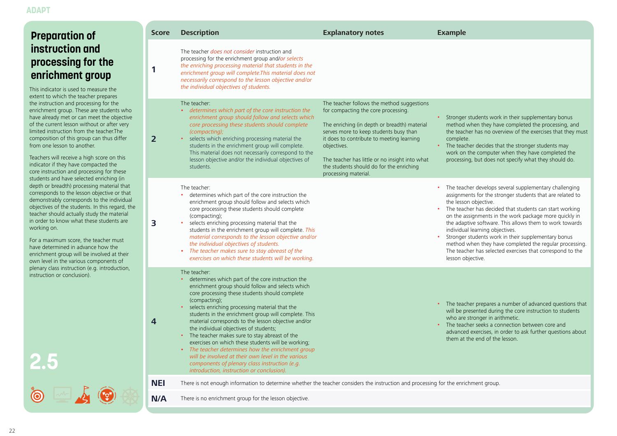## **Preparation of instruction and processing for the enrichment group**

This indicator is used to measure the extent to which the teacher prepares the instruction and processing for the enrichment group. These are students who have already met or can meet the objective of the current lesson without or after very limited instruction from the teacher.The composition of this group can thus differ from one lesson to another.

Teachers will receive a high score on this indicator if they have compacted the core instruction and processing for these students and have selected enriching (in depth or breadth) processing material that corresponds to the lesson objective or that demonstrably corresponds to the individual objectives of the students. In this regard, the teacher should actually study the material in order to know what these students are working on.

For a maximum score, the teacher must have determined in advance how the enrichment group will be involved at their own level in the various components of plenary class instruction (e.g. introduction, instruction or conclusion).

4

1

2

3



| <b>Score</b> | <b>Description</b>                                                                                                                                                                                                                                                                                                                                                                                                                                                                                                                                                                                                                                                                                                               | <b>Explanatory notes</b>                                                                                                                                                                                                                                                                                                                                      | <b>Example</b>                                                                                                                                                                                                                                                                                                                                                                                                                                                                                                                                                      |
|--------------|----------------------------------------------------------------------------------------------------------------------------------------------------------------------------------------------------------------------------------------------------------------------------------------------------------------------------------------------------------------------------------------------------------------------------------------------------------------------------------------------------------------------------------------------------------------------------------------------------------------------------------------------------------------------------------------------------------------------------------|---------------------------------------------------------------------------------------------------------------------------------------------------------------------------------------------------------------------------------------------------------------------------------------------------------------------------------------------------------------|---------------------------------------------------------------------------------------------------------------------------------------------------------------------------------------------------------------------------------------------------------------------------------------------------------------------------------------------------------------------------------------------------------------------------------------------------------------------------------------------------------------------------------------------------------------------|
| 1            | The teacher <i>does not consider</i> instruction and<br>processing for the enrichment group and/or selects<br>the enriching processing material that students in the<br>enrichment group will complete.This material does not<br>necessarily correspond to the lesson objective and/or<br>the individual objectives of students.                                                                                                                                                                                                                                                                                                                                                                                                 |                                                                                                                                                                                                                                                                                                                                                               |                                                                                                                                                                                                                                                                                                                                                                                                                                                                                                                                                                     |
| 2            | The teacher:<br>• determines which part of the core instruction the<br>enrichment group should follow and selects which<br>core processing these students should complete<br>(compacting);<br>selects which enriching processing material the<br>students in the enrichment group will complete.<br>This material does not necessarily correspond to the<br>lesson objective and/or the individual objectives of<br>students.                                                                                                                                                                                                                                                                                                    | The teacher follows the method suggestions<br>for compacting the core processing.<br>The enriching (in depth or breadth) material<br>serves more to keep students busy than<br>it does to contribute to meeting learning<br>objectives.<br>The teacher has little or no insight into what<br>the students should do for the enriching<br>processing material. | Stronger students work in their supplementary bonus<br>method when they have completed the processing, and<br>the teacher has no overview of the exercises that they must<br>complete.<br>The teacher decides that the stronger students may<br>work on the computer when they have completed the<br>processing, but does not specify what they should do.                                                                                                                                                                                                          |
| 3            | The teacher:<br>determines which part of the core instruction the<br>enrichment group should follow and selects which<br>core processing these students should complete<br>(compacting);<br>selects enriching processing material that the<br>students in the enrichment group will complete. This<br>material corresponds to the lesson objective and/or<br>the individual objectives of students.<br>The teacher makes sure to stay abreast of the<br>٠<br>exercises on which these students will be working.                                                                                                                                                                                                                  |                                                                                                                                                                                                                                                                                                                                                               | The teacher develops several supplementary challenging<br>assignments for the stronger students that are related to<br>the lesson objective.<br>The teacher has decided that students can start working<br>on the assignments in the work package more quickly in<br>the adaptive software. This allows them to work towards<br>individual learning objectives.<br>Stronger students work in their supplementary bonus<br>method when they have completed the regular processing.<br>The teacher has selected exercises that correspond to the<br>lesson objective. |
| 4            | The teacher:<br>determines which part of the core instruction the<br>enrichment group should follow and selects which<br>core processing these students should complete<br>(compacting);<br>selects enriching processing material that the<br>students in the enrichment group will complete. This<br>material corresponds to the lesson objective and/or<br>the individual objectives of students;<br>The teacher makes sure to stay abreast of the<br>$\bullet$ .<br>exercises on which these students will be working;<br>The teacher determines how the enrichment group<br>will be involved at their own level in the various<br>components of plenary class instruction (e.g.<br>introduction, instruction or conclusion). |                                                                                                                                                                                                                                                                                                                                                               | The teacher prepares a number of advanced questions that<br>will be presented during the core instruction to students<br>who are stronger in arithmetic.<br>The teacher seeks a connection between core and<br>advanced exercises, in order to ask further questions about<br>them at the end of the lesson.                                                                                                                                                                                                                                                        |
| <b>NEI</b>   | There is not enough information to determine whether the teacher considers the instruction and processing for the enrichment group.                                                                                                                                                                                                                                                                                                                                                                                                                                                                                                                                                                                              |                                                                                                                                                                                                                                                                                                                                                               |                                                                                                                                                                                                                                                                                                                                                                                                                                                                                                                                                                     |
| N/A          | There is no enrichment group for the lesson objective.                                                                                                                                                                                                                                                                                                                                                                                                                                                                                                                                                                                                                                                                           |                                                                                                                                                                                                                                                                                                                                                               |                                                                                                                                                                                                                                                                                                                                                                                                                                                                                                                                                                     |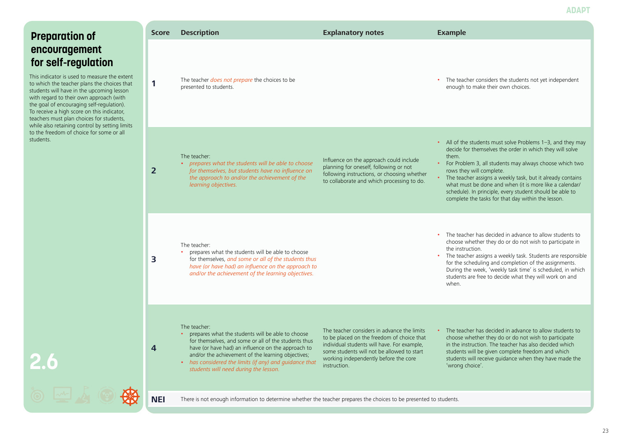#### **Preparation of encouragement for self-regulation**

This indicator is used to measure the extent to which the teacher plans the choices that students will have in the upcoming lesson with regard to their own approach (with the goal of encouraging self-regulation). To receive a high score on this indicator, teachers must plan choices for students, while also retaining control by setting limits to the freedom of choice for some or all students.



4

**IEI** There is not enough information to determine whether the teacher prepares the choices to be presented to students.

instruction.

have (or have had) an influence on the approach to and/or the achievement of the learning objectives; *•* has considered the limits (if any) and guidance that

students will need during the lesson.

| <b>Score</b> | <b>Description</b>                                                                                                                                                                                                                    | <b>Explanatory notes</b>                                                                                                                                                       | <b>Example</b>                                                                                                                                                                                                                                                                                                                                                                                                                                                                |
|--------------|---------------------------------------------------------------------------------------------------------------------------------------------------------------------------------------------------------------------------------------|--------------------------------------------------------------------------------------------------------------------------------------------------------------------------------|-------------------------------------------------------------------------------------------------------------------------------------------------------------------------------------------------------------------------------------------------------------------------------------------------------------------------------------------------------------------------------------------------------------------------------------------------------------------------------|
| 1            | The teacher does not prepare the choices to be<br>presented to students.                                                                                                                                                              |                                                                                                                                                                                | • The teacher considers the students not yet independent<br>enough to make their own choices.                                                                                                                                                                                                                                                                                                                                                                                 |
| 2            | The teacher:<br>prepares what the students will be able to choose<br>for themselves, but students have no influence on<br>the approach to and/or the achievement of the<br>learning objectives.                                       | Influence on the approach could include<br>planning for oneself, following or not<br>following instructions, or choosing whether<br>to collaborate and which processing to do. | All of the students must solve Problems 1-3, and they may<br>$\bullet$<br>decide for themselves the order in which they will solve<br>them.<br>For Problem 3, all students may always choose which two<br>rows they will complete.<br>The teacher assigns a weekly task, but it already contains<br>what must be done and when (it is more like a calendar/<br>schedule). In principle, every student should be able to<br>complete the tasks for that day within the lesson. |
| 3            | The teacher:<br>prepares what the students will be able to choose<br>for themselves, and some or all of the students thus<br>have (or have had) an influence on the approach to<br>and/or the achievement of the learning objectives. |                                                                                                                                                                                | The teacher has decided in advance to allow students to<br>$\bullet$<br>choose whether they do or do not wish to participate in<br>the instruction.<br>The teacher assigns a weekly task. Students are responsible<br>٠<br>for the scheduling and completion of the assignments.<br>During the week, 'weekly task time' is scheduled, in which<br>students are free to decide what they will work on and<br>when.                                                             |
|              | The teacher:<br>prepares what the students will be able to choose<br>for themselves, and some or all of the students thus                                                                                                             | The teacher considers in advance the limits<br>to be placed on the freedom of choice that<br>individual students will have For example                                         | The teacher has decided in advance to allow students to<br>choose whether they do or do not wish to participate<br>in the instruction. The teacher has also decided which                                                                                                                                                                                                                                                                                                     |

some students will not be allowed to start working independently before the core

students will be given complete freedom and which students will receive guidance when they have made the

'wrong choice'.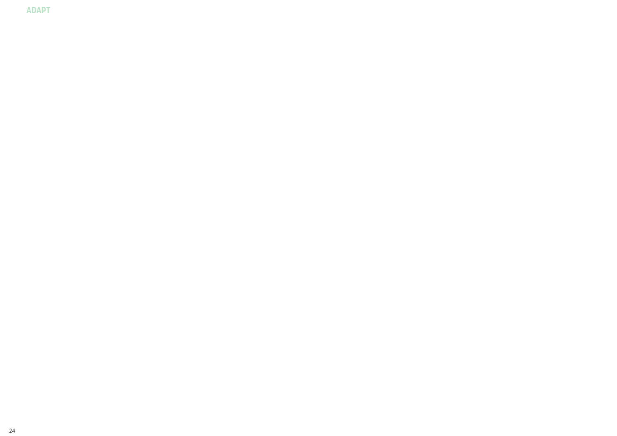**ADAPT**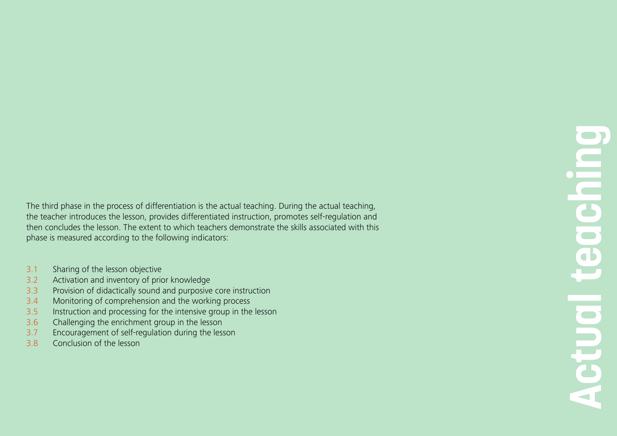The third phase in the process of differentiation is the actual teaching. During the actual teaching, the teacher introduces the lesson, provides differentiated instruction, promotes self-regulation and then concludes the lesson. The extent to which teachers demonstrate the skills associated with this phase is measured according to the following indicators:

- 3.1 Sharing of the lesson objective
- 3.2 Activation and inventory of prior knowledge
- 3.3 Provision of didactically sound and purposive core instruction
- 3.4 Monitoring of comprehension and the working process
- 3.5 Instruction and processing for the intensive group in the lesson
- 3.6 Challenging the enrichment group in the lesson
- 3.7 Encouragement of self-regulation during the lesson
- 3.8 Conclusion of the lesson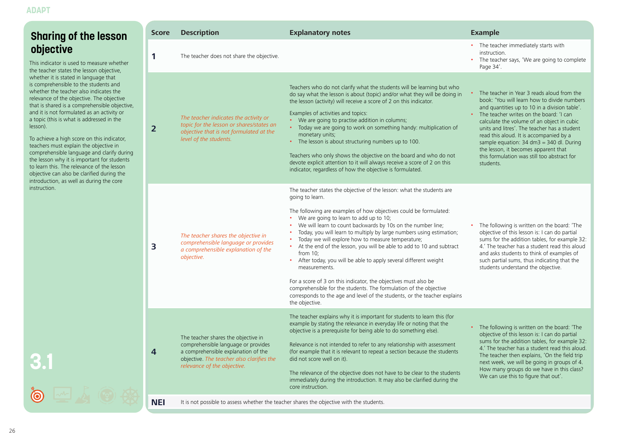## **Sharing of the lesson objective**

This indicator is used to measure whether the teacher states the lesson objective, whether it is stated in language that is comprehensible to the students and whether the teacher also indicates the relevance of the objective. The objective that is shared is a comprehensible objective, and it is not formulated as an activity or a topic (this is what is addressed in the lesson).

To achieve a high score on this indicator, teachers must explain the objective in comprehensible language and clarify during the lesson why it is important for students to learn this. The relevance of the lesson objective can also be clarified during the introduction, as well as during the core instruction.

**3.1**  $\bigotimes^2$ 

|  | <b>Score</b>   | <b>Description</b>                                                                                                                                                                            | <b>Explanatory notes</b>                                                                                                                                                                                                                                                                                                                                                                                                                                                                                                                                                                                                                                                                                                                                                                                                                                                               | <b>Example</b>                                                                                                                                                                                                                                                                                                                                                                                                                                                                 |
|--|----------------|-----------------------------------------------------------------------------------------------------------------------------------------------------------------------------------------------|----------------------------------------------------------------------------------------------------------------------------------------------------------------------------------------------------------------------------------------------------------------------------------------------------------------------------------------------------------------------------------------------------------------------------------------------------------------------------------------------------------------------------------------------------------------------------------------------------------------------------------------------------------------------------------------------------------------------------------------------------------------------------------------------------------------------------------------------------------------------------------------|--------------------------------------------------------------------------------------------------------------------------------------------------------------------------------------------------------------------------------------------------------------------------------------------------------------------------------------------------------------------------------------------------------------------------------------------------------------------------------|
|  | 1              | The teacher does not share the objective.                                                                                                                                                     |                                                                                                                                                                                                                                                                                                                                                                                                                                                                                                                                                                                                                                                                                                                                                                                                                                                                                        | • The teacher immediately starts with<br>instruction.<br>• The teacher says, 'We are going to complete<br>Page 34'.                                                                                                                                                                                                                                                                                                                                                            |
|  | $\overline{2}$ | The teacher indicates the activity or<br>topic for the lesson or shares/states an<br>objective that is not formulated at the<br>level of the students.                                        | Teachers who do not clarify what the students will be learning but who<br>do say what the lesson is about (topic) and/or what they will be doing in<br>the lesson (activity) will receive a score of 2 on this indicator.<br>Examples of activities and topics:<br>We are going to practise addition in columns;<br>• Today we are going to work on something handy: multiplication of<br>monetary units;<br>• The lesson is about structuring numbers up to 100.<br>Teachers who only shows the objective on the board and who do not<br>devote explicit attention to it will always receive a score of 2 on this<br>indicator, regardless of how the objective is formulated.                                                                                                                                                                                                        | The teacher in Year 3 reads aloud from the<br>book: 'You will learn how to divide numbers<br>and quantities up to 10 in a division table'.<br>The teacher writes on the board: 'I can<br>calculate the volume of an object in cubic<br>units and litres'. The teacher has a student<br>read this aloud. It is accompanied by a<br>sample equation: 34 dm3 = 340 dl. During<br>the lesson, it becomes apparent that<br>this formulation was still too abstract for<br>students. |
|  | 3              | The teacher shares the objective in<br>comprehensible language or provides<br>a comprehensible explanation of the<br>objective.                                                               | The teacher states the objective of the lesson: what the students are<br>going to learn.<br>The following are examples of how objectives could be formulated:<br>We are going to learn to add up to 10;<br>$\bullet$<br>We will learn to count backwards by 10s on the number line;<br>$\bullet$<br>Today, you will learn to multiply by large numbers using estimation;<br>$\bullet$<br>Today we will explore how to measure temperature;<br>$\bullet$<br>At the end of the lesson, you will be able to add to 10 and subtract<br>$\bullet$<br>from $10$ :<br>After today, you will be able to apply several different weight<br>measurements.<br>For a score of 3 on this indicator, the objectives must also be<br>comprehensible for the students. The formulation of the objective<br>corresponds to the age and level of the students, or the teacher explains<br>the objective. | The following is written on the board: 'The<br>objective of this lesson is: I can do partial<br>sums for the addition tables, for example 32:<br>4.' The teacher has a student read this aloud<br>and asks students to think of examples of<br>such partial sums, thus indicating that the<br>students understand the objective.                                                                                                                                               |
|  | 4              | The teacher shares the objective in<br>comprehensible language or provides<br>a comprehensible explanation of the<br>objective. The teacher also clarifies the<br>relevance of the objective. | The teacher explains why it is important for students to learn this (for<br>example by stating the relevance in everyday life or noting that the<br>objective is a prerequisite for being able to do something else).<br>Relevance is not intended to refer to any relationship with assessment<br>(for example that it is relevant to repeat a section because the students<br>did not score well on it).<br>The relevance of the objective does not have to be clear to the students<br>immediately during the introduction. It may also be clarified during the<br>core instruction.                                                                                                                                                                                                                                                                                                | The following is written on the board: 'The<br>objective of this lesson is: I can do partial<br>sums for the addition tables, for example 32:<br>4.' The teacher has a student read this aloud.<br>The teacher then explains, 'On the field trip<br>next week, we will be going in groups of 4.<br>How many groups do we have in this class?<br>We can use this to figure that out'.                                                                                           |
|  | <b>NEI</b>     | It is not possible to assess whether the teacher shares the objective with the students.                                                                                                      |                                                                                                                                                                                                                                                                                                                                                                                                                                                                                                                                                                                                                                                                                                                                                                                                                                                                                        |                                                                                                                                                                                                                                                                                                                                                                                                                                                                                |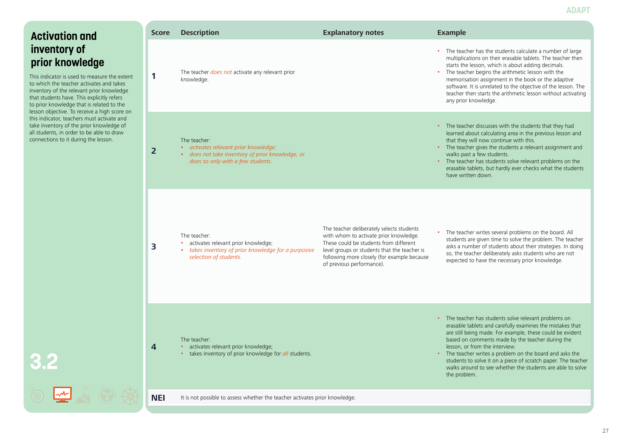## **Activation and inventory of prior knowledge**

This indicator is used to measure the extent to which the teacher activates and takes inventory of the relevant prior knowledge that students have. This explicitly refers to prior knowledge that is related to the lesson objective. To receive a high score on this indicator, teachers must activate and take inventory of the prior knowledge of all students, in order to be able to draw connections to it during the lesson.

| <b>Score</b> | <b>Description</b>                                                                                                                           | <b>Explanatory notes</b>                                                                                                                                                                                                                                  | <b>Example</b>                                                                                                                                                                                                                                                                                                                                                                                                                                                                 |
|--------------|----------------------------------------------------------------------------------------------------------------------------------------------|-----------------------------------------------------------------------------------------------------------------------------------------------------------------------------------------------------------------------------------------------------------|--------------------------------------------------------------------------------------------------------------------------------------------------------------------------------------------------------------------------------------------------------------------------------------------------------------------------------------------------------------------------------------------------------------------------------------------------------------------------------|
| 1            | The teacher <i>does not</i> activate any relevant prior<br>knowledge.                                                                        |                                                                                                                                                                                                                                                           | • The teacher has the students calculate a number of large<br>multiplications on their erasable tablets. The teacher then<br>starts the lesson, which is about adding decimals.<br>• The teacher begins the arithmetic lesson with the<br>memorisation assignment in the book or the adaptive<br>software. It is unrelated to the objective of the lesson. The<br>teacher then starts the arithmetic lesson without activating<br>any prior knowledge.                         |
| 2            | The teacher:<br>• activates relevant prior knowledge;<br>does not take inventory of prior knowledge, or<br>does so only with a few students. |                                                                                                                                                                                                                                                           | • The teacher discusses with the students that they had<br>learned about calculating area in the previous lesson and<br>that they will now continue with this.<br>• The teacher gives the students a relevant assignment and<br>walks past a few students.<br>• The teacher has students solve relevant problems on the<br>erasable tablets, but hardly ever checks what the students<br>have written down.                                                                    |
| 3            | The teacher:<br>activates relevant prior knowledge;<br>takes inventory of prior knowledge for a purposive<br>٠<br>selection of students.     | The teacher deliberately selects students<br>with whom to activate prior knowledge.<br>These could be students from different<br>level groups or students that the teacher is<br>following more closely (for example because<br>of previous performance). | The teacher writes several problems on the board. All<br>students are given time to solve the problem. The teacher<br>asks a number of students about their strategies. In doing<br>so, the teacher deliberately asks students who are not<br>expected to have the necessary prior knowledge.                                                                                                                                                                                  |
|              | The teacher:<br>• activates relevant prior knowledge;<br>takes inventory of prior knowledge for all students.                                |                                                                                                                                                                                                                                                           | • The teacher has students solve relevant problems on<br>erasable tablets and carefully examines the mistakes that<br>are still being made. For example, these could be evident<br>based on comments made by the teacher during the<br>lesson, or from the interview.<br>The teacher writes a problem on the board and asks the<br>students to solve it on a piece of scratch paper. The teacher<br>walks around to see whether the students are able to solve<br>the problem. |
| <b>NEI</b>   | It is not possible to assess whether the teacher activates prior knowledge.                                                                  |                                                                                                                                                                                                                                                           |                                                                                                                                                                                                                                                                                                                                                                                                                                                                                |

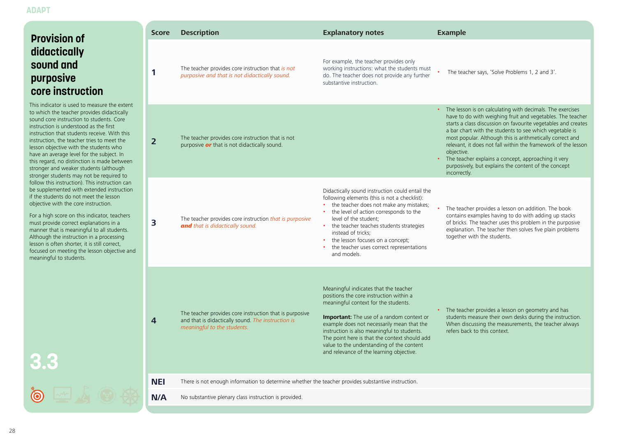## **Provision of didactically sound and purposive core instruction**

This indicator is used to measure the extent to which the teacher provides didactically sound core instruction to students. Core instruction is understood as the first instruction that students receive. With this instruction, the teacher tries to meet the lesson objective with the students who have an average level for the subject. In this regard, no distinction is made between stronger and weaker students (although stronger students may not be required to follow this instruction). This instruction can be supplemented with extended instruction if the students do not meet the lesson objective with the core instruction.

For a high score on this indicator, teachers must provide correct explanations in a manner that is meaningful to all students. Although the instruction in a processing lesson is often shorter, it is still correct, focused on meeting the lesson objective and meaningful to students.

4

**3.3**

| <b>Score</b> | <b>Description</b>                                                                                                                           | <b>Explanatory notes</b>                                                                                                                                                                                                                                                                                                                                                                                            | <b>Example</b>                                                                                                                                                                                                                                                                                                                                                                                                                                                                                                                   |
|--------------|----------------------------------------------------------------------------------------------------------------------------------------------|---------------------------------------------------------------------------------------------------------------------------------------------------------------------------------------------------------------------------------------------------------------------------------------------------------------------------------------------------------------------------------------------------------------------|----------------------------------------------------------------------------------------------------------------------------------------------------------------------------------------------------------------------------------------------------------------------------------------------------------------------------------------------------------------------------------------------------------------------------------------------------------------------------------------------------------------------------------|
| 1            | The teacher provides core instruction that is not<br>purposive and that is not didactically sound.                                           | For example, the teacher provides only<br>working instructions: what the students must<br>do. The teacher does not provide any further<br>substantive instruction.                                                                                                                                                                                                                                                  | The teacher says, 'Solve Problems 1, 2 and 3'.                                                                                                                                                                                                                                                                                                                                                                                                                                                                                   |
| 2            | The teacher provides core instruction that is not<br>purposive or that is not didactically sound.                                            |                                                                                                                                                                                                                                                                                                                                                                                                                     | • The lesson is on calculating with decimals. The exercises<br>have to do with weighing fruit and vegetables. The teacher<br>starts a class discussion on favourite vegetables and creates<br>a bar chart with the students to see which vegetable is<br>most popular. Although this is arithmetically correct and<br>relevant, it does not fall within the framework of the lesson<br>objective.<br>The teacher explains a concept, approaching it very<br>purposively, but explains the content of the concept<br>incorrectly. |
| 3            | The teacher provides core instruction that is purposive<br>and that is didactically sound.                                                   | Didactically sound instruction could entail the<br>following elements (this is not a checklist):<br>the teacher does not make any mistakes;<br>the level of action corresponds to the<br>level of the student;<br>the teacher teaches students strategies<br>instead of tricks;<br>the lesson focuses on a concept;<br>$\bullet$<br>the teacher uses correct representations<br>and models.                         | The teacher provides a lesson on addition. The book<br>contains examples having to do with adding up stacks<br>of bricks. The teacher uses this problem in the purposive<br>explanation. The teacher then solves five plain problems<br>together with the students.                                                                                                                                                                                                                                                              |
| 4            | The teacher provides core instruction that is purposive<br>and that is didactically sound. The instruction is<br>meaningful to the students. | Meaningful indicates that the teacher<br>positions the core instruction within a<br>meaningful context for the students.<br><b>Important:</b> The use of a random context or<br>example does not necessarily mean that the<br>instruction is also meaningful to students.<br>The point here is that the context should add<br>value to the understanding of the content<br>and relevance of the learning objective. | • The teacher provides a lesson on geometry and has<br>students measure their own desks during the instruction.<br>When discussing the measurements, the teacher always<br>refers back to this context.                                                                                                                                                                                                                                                                                                                          |
| <b>NEI</b>   | There is not enough information to determine whether the teacher provides substantive instruction.                                           |                                                                                                                                                                                                                                                                                                                                                                                                                     |                                                                                                                                                                                                                                                                                                                                                                                                                                                                                                                                  |
| N/A          | No substantive plenary class instruction is provided.                                                                                        |                                                                                                                                                                                                                                                                                                                                                                                                                     |                                                                                                                                                                                                                                                                                                                                                                                                                                                                                                                                  |

28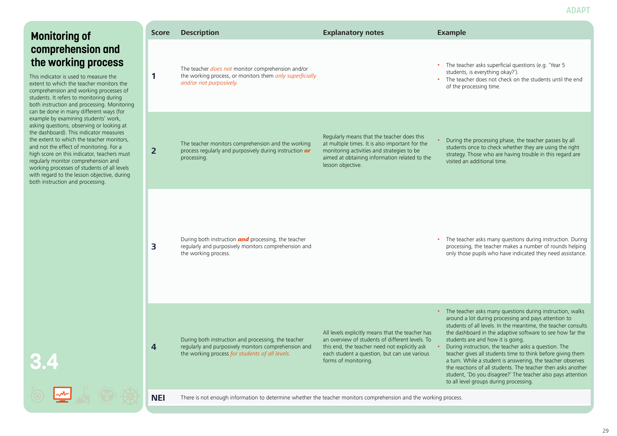| <b>Monitoring of</b>                                                                                                                                                                                                                                                                                                                                                                                                                                                                    | <b>Score</b>   | <b>Description</b>                                                                                                                                             | <b>Explanatory notes</b>                                                                                                                                                                                                     | <b>Example</b>                                                                                                                                                                                                                                                                                                                                                                                                                                                                                                                                                                                                                                     |
|-----------------------------------------------------------------------------------------------------------------------------------------------------------------------------------------------------------------------------------------------------------------------------------------------------------------------------------------------------------------------------------------------------------------------------------------------------------------------------------------|----------------|----------------------------------------------------------------------------------------------------------------------------------------------------------------|------------------------------------------------------------------------------------------------------------------------------------------------------------------------------------------------------------------------------|----------------------------------------------------------------------------------------------------------------------------------------------------------------------------------------------------------------------------------------------------------------------------------------------------------------------------------------------------------------------------------------------------------------------------------------------------------------------------------------------------------------------------------------------------------------------------------------------------------------------------------------------------|
| comprehension and<br>the working process<br>This indicator is used to measure the<br>extent to which the teacher monitors the<br>comprehension and working processes of<br>students. It refers to monitoring during<br>both instruction and processing. Monitoring                                                                                                                                                                                                                      | 1              | The teacher does not monitor comprehension and/or<br>the working process, or monitors them only superficially<br>and/or not purposively.                       |                                                                                                                                                                                                                              | The teacher asks superficial questions (e.g. 'Year 5<br>students, is everything okay?').<br>The teacher does not check on the students until the end<br>of the processing time.                                                                                                                                                                                                                                                                                                                                                                                                                                                                    |
| can be done in many different ways (for<br>example by examining students' work,<br>asking questions, observing or looking at<br>the dashboard). This indicator measures<br>the extent to which the teacher monitors,<br>and not the effect of monitoring. For a<br>high score on this indicator, teachers must<br>regularly monitor comprehension and<br>working processes of students of all levels<br>with regard to the lesson objective, during<br>both instruction and processing. | $\overline{2}$ | The teacher monitors comprehension and the working<br>process regularly and purposively during instruction or<br>processing.                                   | Regularly means that the teacher does this<br>at multiple times. It is also important for the<br>monitoring activities and strategies to be<br>aimed at obtaining information related to the<br>lesson objective.            | During the processing phase, the teacher passes by all<br>students once to check whether they are using the right<br>strategy. Those who are having trouble in this regard are<br>visited an additional time.                                                                                                                                                                                                                                                                                                                                                                                                                                      |
|                                                                                                                                                                                                                                                                                                                                                                                                                                                                                         | 3              | During both instruction <b>and</b> processing, the teacher<br>regularly and purposively monitors comprehension and<br>the working process.                     |                                                                                                                                                                                                                              | The teacher asks many questions during instruction. During<br>processing, the teacher makes a number of rounds helping<br>only those pupils who have indicated they need assistance.                                                                                                                                                                                                                                                                                                                                                                                                                                                               |
|                                                                                                                                                                                                                                                                                                                                                                                                                                                                                         | 4              | During both instruction and processing, the teacher<br>regularly and purposively monitors comprehension and<br>the working process for students of all levels. | All levels explicitly means that the teacher has<br>an overview of students of different levels. To<br>this end, the teacher need not explicitly ask<br>each student a question, but can use various<br>forms of monitoring. | The teacher asks many questions during instruction, walks<br>around a lot during processing and pays attention to<br>students of all levels. In the meantime, the teacher consults<br>the dashboard in the adaptive software to see how far the<br>students are and how it is going.<br>During instruction, the teacher asks a question. The<br>teacher gives all students time to think before giving them<br>a turn. While a student is answering, the teacher observes<br>the reactions of all students. The teacher then asks another<br>student, 'Do you disagree?' The teacher also pays attention<br>to all level groups during processing. |
|                                                                                                                                                                                                                                                                                                                                                                                                                                                                                         | <b>NEI</b>     | There is not enough information to determine whether the teacher monitors comprehension and the working process.                                               |                                                                                                                                                                                                                              |                                                                                                                                                                                                                                                                                                                                                                                                                                                                                                                                                                                                                                                    |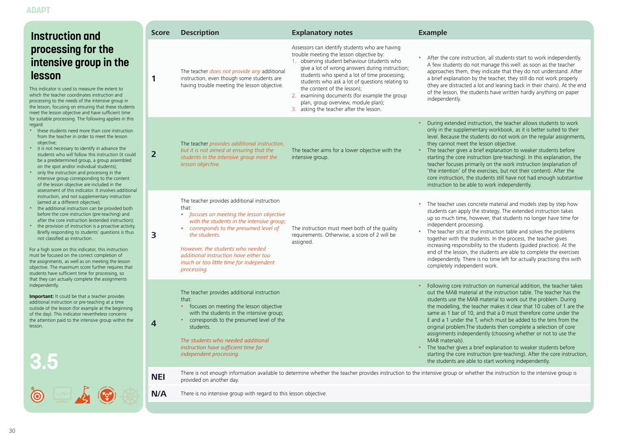#### **ADAPT**

#### **Instruction and processing for the intensive group in the lesson**

This indicator is used to measure the extent to which the teacher coordinates instruction and processing to the needs of the intensive group in the lesson, focusing on ensuring that these students meet the lesson objective and have sufficient time for suitable processing. The following applies in this regard:

- these students need more than core instruction from the teacher in order to meet the lesson objective;
- it is not necessary to identify in advance the students who will follow this instruction (it could be a predetermined group, a group assembled on the spot and/or individual students);
- only the instruction and processing in the intensive group corresponding to the content of the lesson objective are included in the assessment of this indicator. It involves additional instruction, and not supplementary instruction (aimed at a different objective);
- the additional instruction can be provided both before the core instruction (pre-teaching) and after the core instruction (extended instruction);
- the provision of instruction is a proactive activity Briefly responding to students' questions is thus not classified as instruction.

For a high score on this indicator, this instruction must be focused on the correct completion of the assignments, as well as on meeting the lesson objective. The maximum score further requires that students have sufficient time for processing, so that they can actually complete the assignments independently.

Important: It could be that a teacher provides additional instruction or pre-teaching at a time outside of the lesson (for example at the beginning of the day). This indicator nevertheless concerns the attention paid to the intensive group within the lesson.

**3.5**

is the state

|  | <b>Score</b>   | <b>Description</b>                                                                                                                                                                                                                                                                                                                                | <b>Explanatory notes</b>                                                                                                                                                                                                                                                                                                                                                                                                                                           | <b>Example</b>                                                                                                                                                                                                                                                                                                                                                                                                                                                                                                                                                                                                                                                                                                                                                                            |
|--|----------------|---------------------------------------------------------------------------------------------------------------------------------------------------------------------------------------------------------------------------------------------------------------------------------------------------------------------------------------------------|--------------------------------------------------------------------------------------------------------------------------------------------------------------------------------------------------------------------------------------------------------------------------------------------------------------------------------------------------------------------------------------------------------------------------------------------------------------------|-------------------------------------------------------------------------------------------------------------------------------------------------------------------------------------------------------------------------------------------------------------------------------------------------------------------------------------------------------------------------------------------------------------------------------------------------------------------------------------------------------------------------------------------------------------------------------------------------------------------------------------------------------------------------------------------------------------------------------------------------------------------------------------------|
|  | 1              | The teacher does not provide any additional<br>instruction, even though some students are<br>having trouble meeting the lesson objective.                                                                                                                                                                                                         | Assessors can identify students who are having<br>trouble meeting the lesson objective by:<br>1. observing student behaviour (students who<br>give a lot of wrong answers during instruction;<br>students who spend a lot of time processing;<br>students who ask a lot of questions relating to<br>the content of the lesson);<br>2. examining documents (for example the group<br>plan, group overview, module plan);<br>3. asking the teacher after the lesson. | After the core instruction, all students start to work independently.<br>A few students do not manage this well: as soon as the teacher<br>approaches them, they indicate that they do not understand. After<br>a brief explanation by the teacher, they still do not work properly<br>(they are distracted a lot and leaning back in their chairs). At the end<br>of the lesson, the students have written hardly anything on paper<br>independently.                                                                                                                                                                                                                                                                                                                                    |
|  | $\overline{2}$ | The teacher provides additional instruction,<br>but it is not aimed at ensuring that the<br>students in the intensive group meet the<br>lesson objective.                                                                                                                                                                                         | The teacher aims for a lower objective with the<br>intensive group.                                                                                                                                                                                                                                                                                                                                                                                                | During extended instruction, the teacher allows students to work<br>only in the supplementary workbook, as it is better suited to their<br>level. Because the students do not work on the regular assignments,<br>they cannot meet the lesson objective.<br>The teacher gives a brief explanation to weaker students before<br>starting the core instruction (pre-teaching). In this explanation, the<br>teacher focuses primarily on the work instruction (explanation of<br>'the intention' of the exercises, but not their content). After the<br>core instruction, the students still have not had enough substantive<br>instruction to be able to work independently.                                                                                                                |
|  | 3              | The teacher provides additional instruction<br>that:<br>• focuses on meeting the lesson objective<br>with the students in the intensive group;<br>• corresponds to the presumed level of<br>the students.<br>However, the students who needed<br>additional instruction have either too<br>much or too little time for independent<br>processing. | The instruction must meet both of the quality<br>requirements. Otherwise, a score of 2 will be<br>assigned.                                                                                                                                                                                                                                                                                                                                                        | • The teacher uses concrete material and models step by step how<br>students can apply the strategy. The extended instruction takes<br>up so much time, however, that students no longer have time for<br>independent processing.<br>The teacher sits at the instruction table and solves the problems<br>together with the students. In the process, the teacher gives<br>increasing responsibility to the students (quided practice). At the<br>end of the lesson, the students are able to complete the exercises<br>independently. There is no time left for actually practising this with<br>completely independent work.                                                                                                                                                            |
|  |                | The teacher provides additional instruction<br>that:<br>focuses on meeting the lesson objective<br>$\bullet$<br>with the students in the intensive group;<br>corresponds to the presumed level of the<br>students.<br>The students who needed additional<br>instruction have sufficient time for<br>independent processing.                       |                                                                                                                                                                                                                                                                                                                                                                                                                                                                    | Following core instruction on numerical addition, the teacher takes<br>out the MAB material at the instruction table. The teacher has the<br>students use the MAB material to work out the problem. During<br>the modelling, the teacher makes it clear that 10 cubes of 1 are the<br>same as 1 bar of 10, and that a 0 must therefore come under the<br>E and a 1 under the T, which must be added to the tens from the<br>original problem. The students then complete a selection of core<br>assignments independently (choosing whether or not to use the<br>MAB materials).<br>The teacher gives a brief explanation to weaker students before<br>starting the core instruction (pre-teaching). After the core instruction,<br>the students are able to start working independently. |
|  | <b>NEI</b>     | التمام ومطاهم مرما مرما الممامات بمومر                                                                                                                                                                                                                                                                                                            |                                                                                                                                                                                                                                                                                                                                                                                                                                                                    | There is not enough information available to determine whether the teacher provides instruction to the intensive group or whether the instruction to the intensive group is                                                                                                                                                                                                                                                                                                                                                                                                                                                                                                                                                                                                               |

**N/A** There is no intensive group with regard to this lesson objective.

provided on another day.

30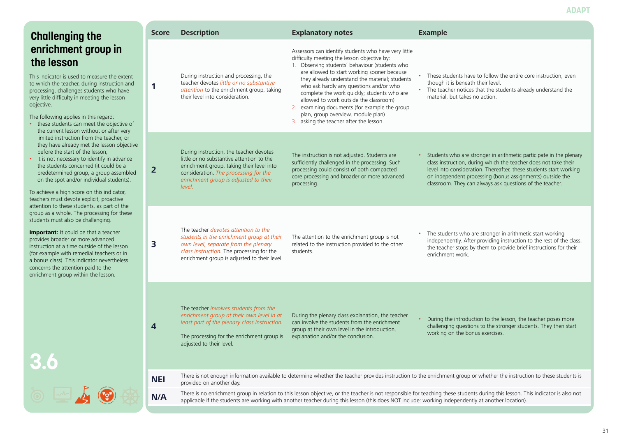#### **Challenging the enrichment group in the lesson**

This indicator is used to measure the extent to which the teacher, during instruction and processing, challenges students who have very little difficulty in meeting the lesson objective.

1

2

3

4

The following applies in this regard:

- these students can meet the objective of the current lesson without or after very limited instruction from the teacher, or they have already met the lesson objective before the start of the lesson;
- it is not necessary to identify in advance the students concerned (it could be a predetermined group, a group assembled on the spot and/or individual students).

To achieve a high score on this indicator, teachers must devote explicit, proactive attention to these students, as part of the group as a whole. The processing for these students must also be challenging.

Important: It could be that a teacher provides broader or more advanced instruction at a time outside of the lesson (for example with remedial teachers or in a bonus class). This indicator nevertheless concerns the attention paid to the enrichment group within the lesson.

Score Description Explanatory notes Example During instruction and processing, the teacher devotes little or no substantive attention to the enrichment group, taking their level into consideration. Assessors can identify students who have very little difficulty meeting the lesson objective by: 1. Observing students' behaviour (students who are allowed to start working sooner because they already understand the material; students who ask hardly any questions and/or who complete the work quickly; students who are allowed to work outside the classroom) 2. examining documents (for example the group plan, group overview, module plan) 3. asking the teacher after the lesson. These students have to follow the entire core instruction, even though it is beneath their level. The teacher notices that the students already understand the material, but takes no action. During instruction, the teacher devotes little or no substantive attention to the enrichment group, taking their level into consideration. The processing for the enrichment group is adjusted to their level. The instruction is not adjusted. Students are sufficiently challenged in the processing. Such processing could consist of both compacted core processing and broader or more advanced processing. classroom. They can always ask questions of the teacher. The teacher devotes attention to the students in the enrichment group at their own level, separate from the plenary class instruction. The processing for the enrichment group is adjusted to their level. The attention to the enrichment group is not related to the instruction provided to the other students. The teacher involves students from the enrichment group at their own level in at least part of the plenary class instruction. The processing for the enrichment group is adjusted to their level. During the plenary class explanation, the teacher can involve the students from the enrichment group at their own level in the introduction, explanation and/or the conclusion.

• Students who are stronger in arithmetic participate in the plenary class instruction, during which the teacher does not take their level into consideration. Thereafter, these students start working on independent processing (bonus assignments) outside the

enrichment work.

• The students who are stronger in arithmetic start working independently. After providing instruction to the rest of the class, the teacher stops by them to provide brief instructions for their

• During the introduction to the lesson, the teacher poses more challenging questions to the stronger students. They then start working on the bonus exercises.

**3.6**<br>◎ 圖方

There is not enough information available to determine whether the teacher provides instruction to the enrichment group or whether the instruction to these students is provided on another day.

There is no enrichment group in relation to this lesson objective, or the teacher is not responsible for teaching these students during this lesson. This indicator is also not applicable if the students are working with another teacher during this lesson (this does NOT include: working independently at another location).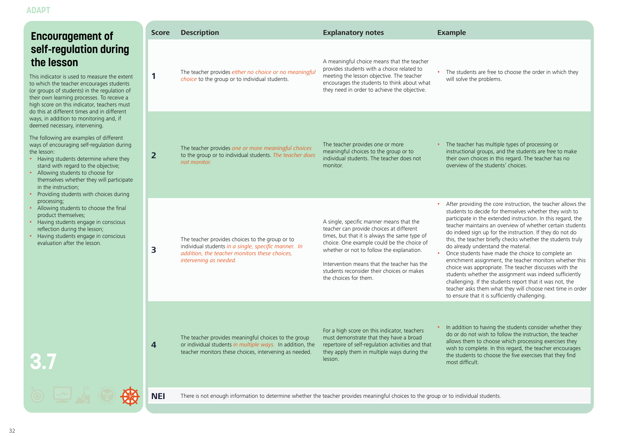| <b>Encouragement of</b> |
|-------------------------|
| self-regulation during  |
| the lesson              |

This indicator is used to measure the extent to which the teacher encourages students (or groups of students) in the regulation of their own learning processes. To receive a high score on this indicator, teachers must do this at different times and in different ways, in addition to monitoring and, if deemed necessary, intervening.

The following are examples of different ways of encouraging self-regulation during the lesson:

- Having students determine where they stand with regard to the objective;
- Allowing students to choose for themselves whether they will participate in the instruction;
- Providing students with choices during processing;
- Allowing students to choose the final product themselves;
- Having students engage in conscious reflection during the lesson;
- Having students engage in conscious evaluation after the lesson.

| <b>Score</b> | <b>Description</b>                                                                                                                                                                 | <b>Explanatory notes</b>                                                                                                                                                                                                                                                                                                                               | <b>Example</b>                                                                                                                                                                                                                                                                                                                                                                                                                                                                                                                                                                                                                                                                                                                                                                                                                       |
|--------------|------------------------------------------------------------------------------------------------------------------------------------------------------------------------------------|--------------------------------------------------------------------------------------------------------------------------------------------------------------------------------------------------------------------------------------------------------------------------------------------------------------------------------------------------------|--------------------------------------------------------------------------------------------------------------------------------------------------------------------------------------------------------------------------------------------------------------------------------------------------------------------------------------------------------------------------------------------------------------------------------------------------------------------------------------------------------------------------------------------------------------------------------------------------------------------------------------------------------------------------------------------------------------------------------------------------------------------------------------------------------------------------------------|
| 1            | The teacher provides either no choice or no meaningful<br>choice to the group or to individual students.                                                                           | A meaningful choice means that the teacher<br>provides students with a choice related to<br>meeting the lesson objective. The teacher<br>encourages the students to think about what<br>they need in order to achieve the objective.                                                                                                                   | The students are free to choose the order in which they<br>will solve the problems.                                                                                                                                                                                                                                                                                                                                                                                                                                                                                                                                                                                                                                                                                                                                                  |
| 2            | The teacher provides one or more meaningful choices<br>to the group or to individual students. The teacher does<br>not monitor.                                                    | The teacher provides one or more<br>meaningful choices to the group or to<br>individual students. The teacher does not<br>monitor.                                                                                                                                                                                                                     | The teacher has multiple types of processing or<br>instructional groups, and the students are free to make<br>their own choices in this regard. The teacher has no<br>overview of the students' choices.                                                                                                                                                                                                                                                                                                                                                                                                                                                                                                                                                                                                                             |
| 3            | The teacher provides choices to the group or to<br>individual students in a single, specific manner. In<br>addition, the teacher monitors these choices,<br>intervening as needed. | A single, specific manner means that the<br>teacher can provide choices at different<br>times, but that it is always the same type of<br>choice. One example could be the choice of<br>whether or not to follow the explanation.<br>Intervention means that the teacher has the<br>students reconsider their choices or makes<br>the choices for them. | After providing the core instruction, the teacher allows the<br>students to decide for themselves whether they wish to<br>participate in the extended instruction. In this regard, the<br>teacher maintains an overview of whether certain student<br>do indeed sign up for the instruction. If they do not do<br>this, the teacher briefly checks whether the students truly<br>do already understand the material.<br>Once students have made the choice to complete an<br>enrichment assignment, the teacher monitors whether thi<br>choice was appropriate. The teacher discusses with the<br>students whether the assignment was indeed sufficiently<br>challenging. If the students report that it was not, the<br>teacher asks them what they will choose next time in orde<br>to ensure that it is sufficiently challenging. |
| 4            | The teacher provides meaningful choices to the group<br>or individual students in multiple ways. In addition, the<br>teacher monitors these choices, intervening as needed.        | For a high score on this indicator, teachers<br>must demonstrate that they have a broad<br>repertoire of self-regulation activities and that<br>they apply them in multiple ways during the<br>lesson.                                                                                                                                                 | In addition to having the students consider whether they<br>do or do not wish to follow the instruction, the teacher<br>allows them to choose which processing exercises they<br>wish to complete. In this regard, the teacher encourages<br>the students to choose the five exercises that they find<br>most difficult.                                                                                                                                                                                                                                                                                                                                                                                                                                                                                                             |
| <b>NEI</b>   | There is not enough information to determine whether the teacher provides meaningful choices to the group or to individual students.                                               |                                                                                                                                                                                                                                                                                                                                                        |                                                                                                                                                                                                                                                                                                                                                                                                                                                                                                                                                                                                                                                                                                                                                                                                                                      |

- After providing the core instruction, the teacher allows the teacher maintains an overview of whether certain students
- enrichment assignment, the teacher monitors whether this teacher asks them what they will choose next time in order

32

**3.7**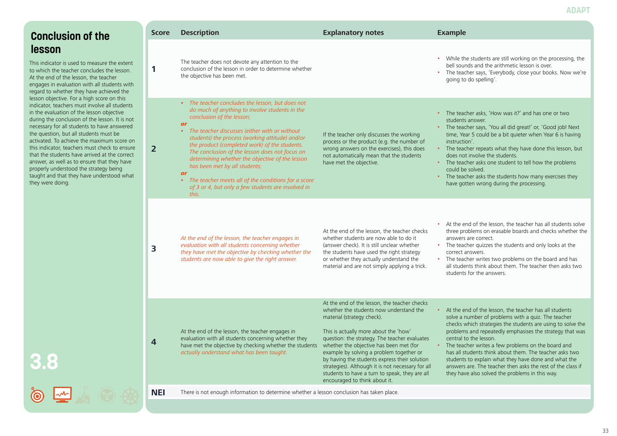| <b>Conclusion of the</b> |  |
|--------------------------|--|
| lesson                   |  |

This indicator is used to measure the extent to which the teacher concludes the lesson. At the end of the lesson, the teacher engages in evaluation with all students with regard to whether they have achieved the lesson objective. For a high score on this indicator, teachers must involve all students in the evaluation of the lesson objective during the conclusion of the lesson. It is not necessary for all students to have answered the question, but all students must be activated. To achieve the maximum score on this indicator, teachers must check to ensure that the students have arrived at the correct answer, as well as to ensure that they have properly understood the strategy being taught and that they have understood what they were doing.

| <b>Score</b>               | <b>Description</b>                                                                                                                                                                                                                                                                                                                                                                                                                                                                                                                               | <b>Explanatory notes</b>                                                                                                                                                                                                                                                                                                                                                                                                                                                                        | <b>Example</b>                                                                                                                                                                                                                                                                                                                                                                                                                                                                                                                                                |
|----------------------------|--------------------------------------------------------------------------------------------------------------------------------------------------------------------------------------------------------------------------------------------------------------------------------------------------------------------------------------------------------------------------------------------------------------------------------------------------------------------------------------------------------------------------------------------------|-------------------------------------------------------------------------------------------------------------------------------------------------------------------------------------------------------------------------------------------------------------------------------------------------------------------------------------------------------------------------------------------------------------------------------------------------------------------------------------------------|---------------------------------------------------------------------------------------------------------------------------------------------------------------------------------------------------------------------------------------------------------------------------------------------------------------------------------------------------------------------------------------------------------------------------------------------------------------------------------------------------------------------------------------------------------------|
| 1                          | The teacher does not devote any attention to the<br>conclusion of the lesson in order to determine whether<br>the objective has been met.                                                                                                                                                                                                                                                                                                                                                                                                        |                                                                                                                                                                                                                                                                                                                                                                                                                                                                                                 | • While the students are still working on the processing, the<br>bell sounds and the arithmetic lesson is over.<br>The teacher says, 'Everybody, close your books. Now we're<br>going to do spelling'.                                                                                                                                                                                                                                                                                                                                                        |
| or<br>$\bullet$<br>2<br>or | • The teacher concludes the lesson, but does not<br>do much of anything to involve students in the<br>conclusion of the lesson;<br>The teacher discusses (either with or without<br>students) the process (working attitude) and/or<br>the product (completed work) of the students.<br>The conclusion of the lesson does not focus on<br>determining whether the objective of the lesson<br>has been met by all students;<br>The teacher meets all of the conditions for a score<br>of 3 or 4, but only a few students are involved in<br>this. | If the teacher only discusses the working<br>process or the product (e.g. the number of<br>wrong answers on the exercises), this does<br>not automatically mean that the students<br>have met the objective.                                                                                                                                                                                                                                                                                    | The teacher asks, 'How was it?' and has one or two<br>students answer.<br>The teacher says, 'You all did great!' or, 'Good job! Next<br>time, Year 5 could be a bit quieter when Year 6 is having<br>instruction'.<br>The teacher repeats what they have done this lesson, but<br>$\bullet$<br>does not involve the students.<br>The teacher asks one student to tell how the problems<br>could be solved.<br>The teacher asks the students how many exercises they<br>have gotten wrong during the processing.                                               |
| 3                          | At the end of the lesson, the teacher engages in<br>evaluation with all students concerning whether<br>they have met the objective by checking whether the<br>students are now able to give the right answer.                                                                                                                                                                                                                                                                                                                                    | At the end of the lesson, the teacher checks<br>whether students are now able to do it<br>(answer check). It is still unclear whether<br>the students have used the right strategy<br>or whether they actually understand the<br>material and are not simply applying a trick.                                                                                                                                                                                                                  | • At the end of the lesson, the teacher has all students solve<br>three problems on erasable boards and checks whether the<br>answers are correct.<br>The teacher quizzes the students and only looks at the<br>correct answers.<br>The teacher writes two problems on the board and has<br>$\bullet$<br>all students think about them. The teacher then asks two<br>students for the answers.                                                                                                                                                                |
| 4                          | At the end of the lesson, the teacher engages in<br>evaluation with all students concerning whether they<br>have met the objective by checking whether the students<br>actually understand what has been taught.                                                                                                                                                                                                                                                                                                                                 | At the end of the lesson, the teacher checks<br>whether the students now understand the<br>material (strategy check).<br>This is actually more about the 'how'<br>question: the strategy. The teacher evaluates<br>whether the objective has been met (for<br>example by solving a problem together or<br>by having the students express their solution<br>strategies). Although it is not necessary for all<br>students to have a turn to speak, they are all<br>encouraged to think about it. | At the end of the lesson, the teacher has all students<br>solve a number of problems with a quiz. The teacher<br>checks which strategies the students are using to solve the<br>problems and repeatedly emphasises the strategy that was<br>central to the lesson.<br>The teacher writes a few problems on the board and<br>has all students think about them. The teacher asks two<br>students to explain what they have done and what the<br>answers are. The teacher then asks the rest of the class if<br>they have also solved the problems in this way. |
| <b>NEI</b>                 | There is not enough information to determine whether a lesson conclusion has taken place.                                                                                                                                                                                                                                                                                                                                                                                                                                                        |                                                                                                                                                                                                                                                                                                                                                                                                                                                                                                 |                                                                                                                                                                                                                                                                                                                                                                                                                                                                                                                                                               |

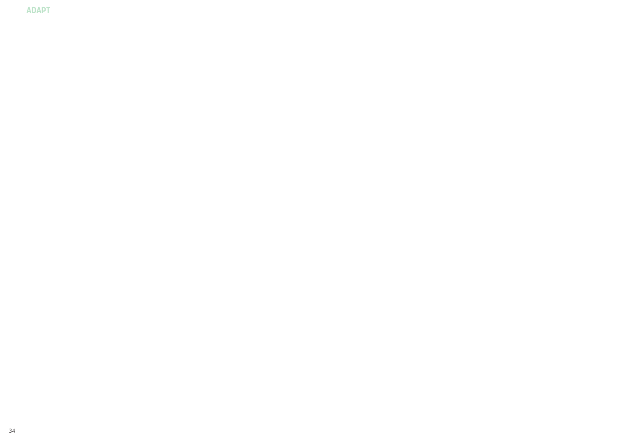**ADAPT**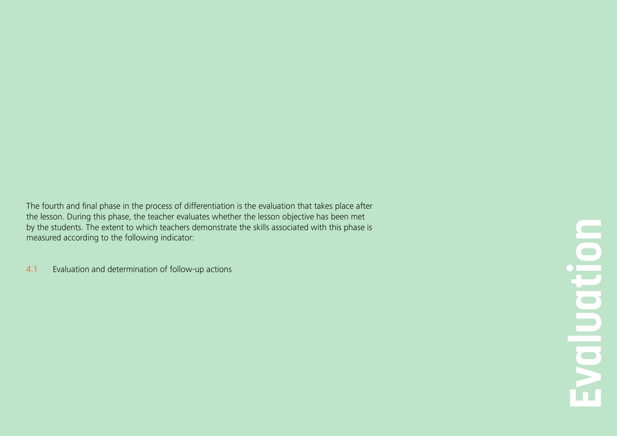The fourth and final phase in the process of differentiation is the evaluation that takes place after the lesson. During this phase, the teacher evaluates whether the lesson objective has been met by the students. The extent to which teachers demonstrate the skills associated with this phase is measured according to the following indicator:

4.1 Evaluation and determination of follow-up actions